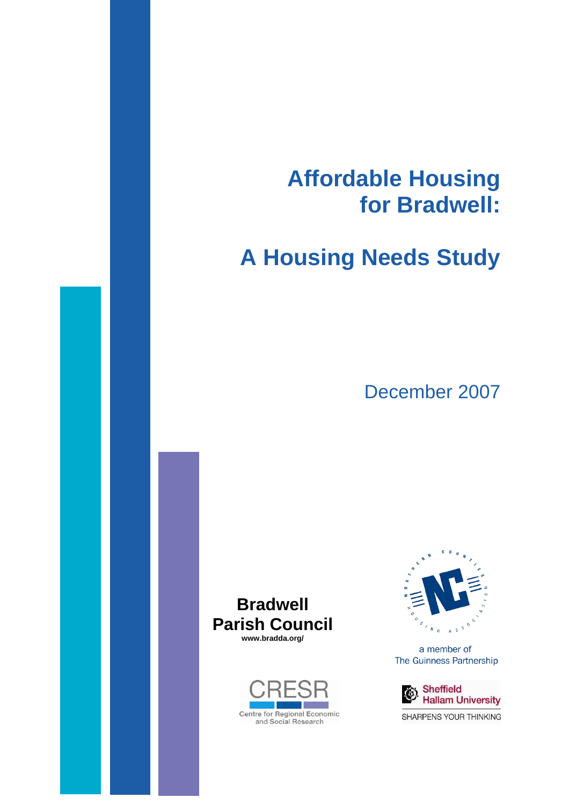# **Affordable Housing for Bradwell:**

# **A Housing Needs Study**

December 2007







a member of The Guinness Partnership



SHARPENS YOUR THINKING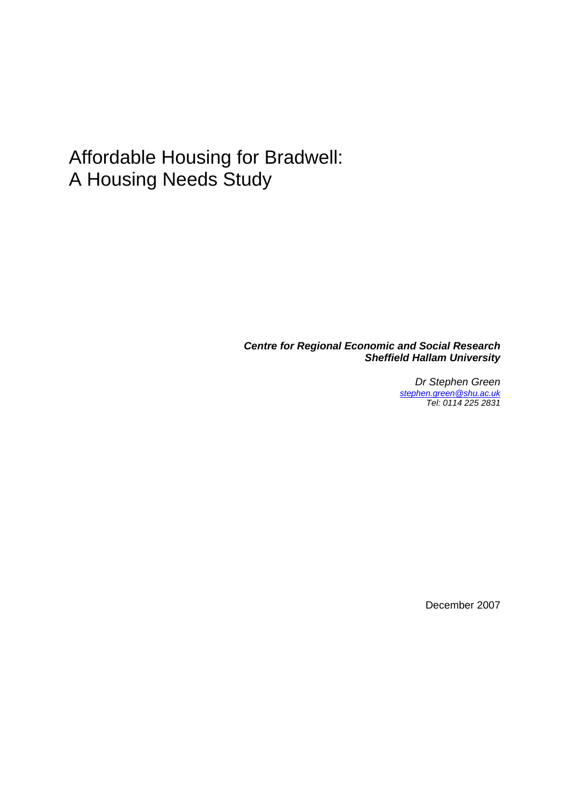# Affordable Housing for Bradwell: A Housing Needs Study

*Centre for Regional Economic and Social Research Sheffield Hallam University* 

> *Dr Stephen Green [stephen.green@shu.ac.uk](mailto:stephen.green@shu.ac.uk) Tel: 0114 225 2831*

> > December 2007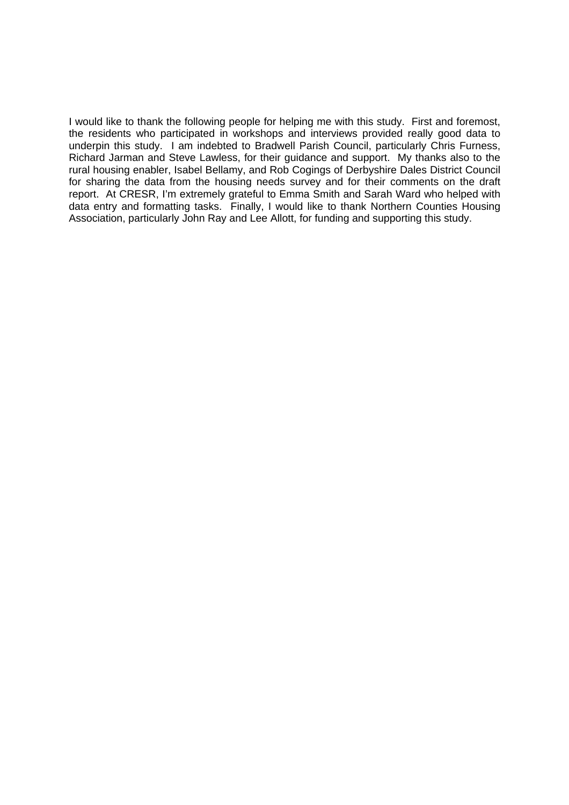I would like to thank the following people for helping me with this study. First and foremost, the residents who participated in workshops and interviews provided really good data to underpin this study. I am indebted to Bradwell Parish Council, particularly Chris Furness, Richard Jarman and Steve Lawless, for their guidance and support. My thanks also to the rural housing enabler, Isabel Bellamy, and Rob Cogings of Derbyshire Dales District Council for sharing the data from the housing needs survey and for their comments on the draft report. At CRESR, I'm extremely grateful to Emma Smith and Sarah Ward who helped with data entry and formatting tasks. Finally, I would like to thank Northern Counties Housing Association, particularly John Ray and Lee Allott, for funding and supporting this study.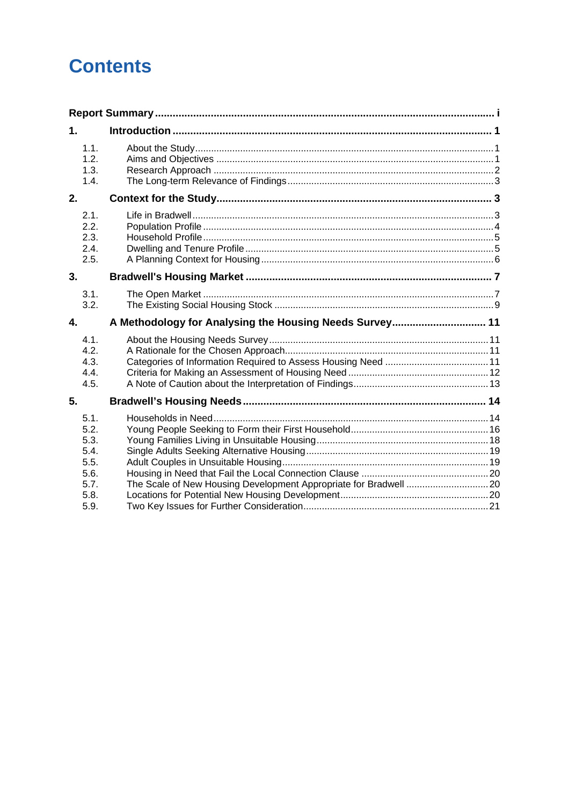# **Contents**

| 1.                                   |                                                         |  |
|--------------------------------------|---------------------------------------------------------|--|
| 1.1.<br>1.2.<br>1.3.<br>1.4.         |                                                         |  |
| 2.                                   |                                                         |  |
| 2.1.<br>2.2.<br>2.3.<br>2.4.<br>2.5. |                                                         |  |
| 3.                                   |                                                         |  |
| 3.1.<br>3.2.                         |                                                         |  |
| 4.                                   | A Methodology for Analysing the Housing Needs Survey 11 |  |
| 4.1.<br>4.2.<br>4.3.<br>4.4.         |                                                         |  |
| 4.5.                                 |                                                         |  |
| 5.                                   |                                                         |  |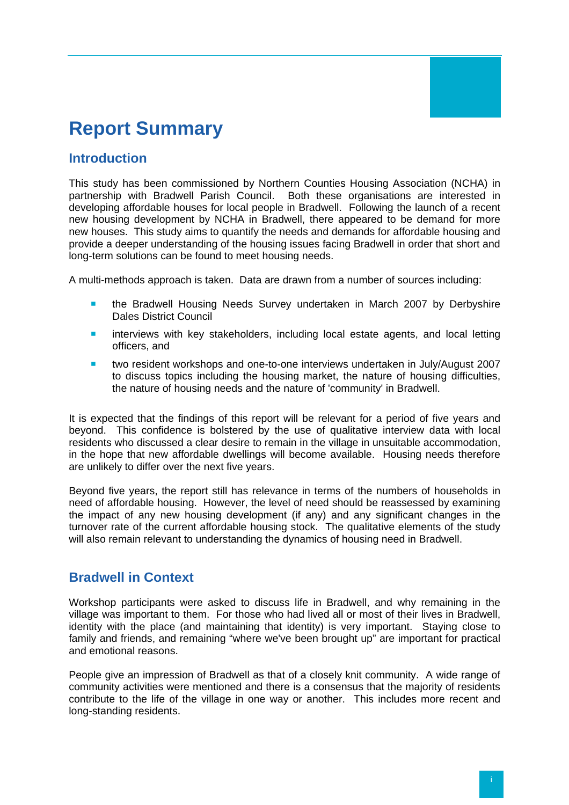# <span id="page-5-0"></span>**Report Summary**

## **Introduction**

This study has been commissioned by Northern Counties Housing Association (NCHA) in partnership with Bradwell Parish Council. Both these organisations are interested in developing affordable houses for local people in Bradwell. Following the launch of a recent new housing development by NCHA in Bradwell, there appeared to be demand for more new houses. This study aims to quantify the needs and demands for affordable housing and provide a deeper understanding of the housing issues facing Bradwell in order that short and long-term solutions can be found to meet housing needs.

A multi-methods approach is taken. Data are drawn from a number of sources including:

- **the Bradwell Housing Needs Survey undertaken in March 2007 by Derbyshire** Dales District Council
- **E** interviews with key stakeholders, including local estate agents, and local letting officers, and
- two resident workshops and one-to-one interviews undertaken in July/August 2007 to discuss topics including the housing market, the nature of housing difficulties, the nature of housing needs and the nature of 'community' in Bradwell.

It is expected that the findings of this report will be relevant for a period of five years and beyond. This confidence is bolstered by the use of qualitative interview data with local residents who discussed a clear desire to remain in the village in unsuitable accommodation, in the hope that new affordable dwellings will become available. Housing needs therefore are unlikely to differ over the next five years.

Beyond five years, the report still has relevance in terms of the numbers of households in need of affordable housing. However, the level of need should be reassessed by examining the impact of any new housing development (if any) and any significant changes in the turnover rate of the current affordable housing stock. The qualitative elements of the study will also remain relevant to understanding the dynamics of housing need in Bradwell.

#### **Bradwell in Context**

Workshop participants were asked to discuss life in Bradwell, and why remaining in the village was important to them. For those who had lived all or most of their lives in Bradwell, identity with the place (and maintaining that identity) is very important. Staying close to family and friends, and remaining "where we've been brought up" are important for practical and emotional reasons.

People give an impression of Bradwell as that of a closely knit community. A wide range of community activities were mentioned and there is a consensus that the majority of residents contribute to the life of the village in one way or another. This includes more recent and long-standing residents.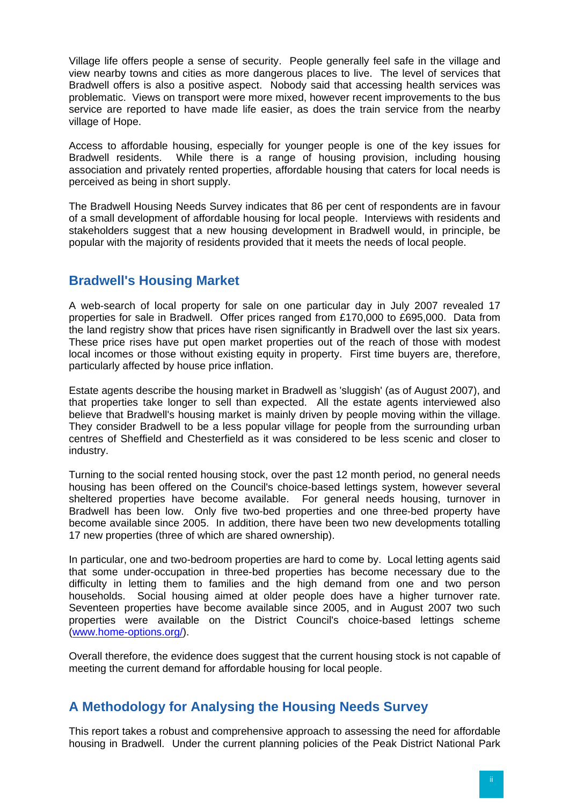Village life offers people a sense of security. People generally feel safe in the village and view nearby towns and cities as more dangerous places to live. The level of services that Bradwell offers is also a positive aspect. Nobody said that accessing health services was problematic. Views on transport were more mixed, however recent improvements to the bus service are reported to have made life easier, as does the train service from the nearby village of Hope.

Access to affordable housing, especially for younger people is one of the key issues for Bradwell residents. While there is a range of housing provision, including housing association and privately rented properties, affordable housing that caters for local needs is perceived as being in short supply.

The Bradwell Housing Needs Survey indicates that 86 per cent of respondents are in favour of a small development of affordable housing for local people. Interviews with residents and stakeholders suggest that a new housing development in Bradwell would, in principle, be popular with the majority of residents provided that it meets the needs of local people.

# **Bradwell's Housing Market**

A web-search of local property for sale on one particular day in July 2007 revealed 17 properties for sale in Bradwell. Offer prices ranged from £170,000 to £695,000. Data from the land registry show that prices have risen significantly in Bradwell over the last six years. These price rises have put open market properties out of the reach of those with modest local incomes or those without existing equity in property. First time buyers are, therefore, particularly affected by house price inflation.

Estate agents describe the housing market in Bradwell as 'sluggish' (as of August 2007), and that properties take longer to sell than expected. All the estate agents interviewed also believe that Bradwell's housing market is mainly driven by people moving within the village. They consider Bradwell to be a less popular village for people from the surrounding urban centres of Sheffield and Chesterfield as it was considered to be less scenic and closer to industry.

Turning to the social rented housing stock, over the past 12 month period, no general needs housing has been offered on the Council's choice-based lettings system, however several sheltered properties have become available. For general needs housing, turnover in Bradwell has been low. Only five two-bed properties and one three-bed property have become available since 2005. In addition, there have been two new developments totalling 17 new properties (three of which are shared ownership).

In particular, one and two-bedroom properties are hard to come by. Local letting agents said that some under-occupation in three-bed properties has become necessary due to the difficulty in letting them to families and the high demand from one and two person households. Social housing aimed at older people does have a higher turnover rate. Seventeen properties have become available since 2005, and in August 2007 two such properties were available on the District Council's choice-based lettings scheme ([www.home-options.org/](http://www.home-options.org/)).

Overall therefore, the evidence does suggest that the current housing stock is not capable of meeting the current demand for affordable housing for local people.

## **A Methodology for Analysing the Housing Needs Survey**

This report takes a robust and comprehensive approach to assessing the need for affordable housing in Bradwell. Under the current planning policies of the Peak District National Park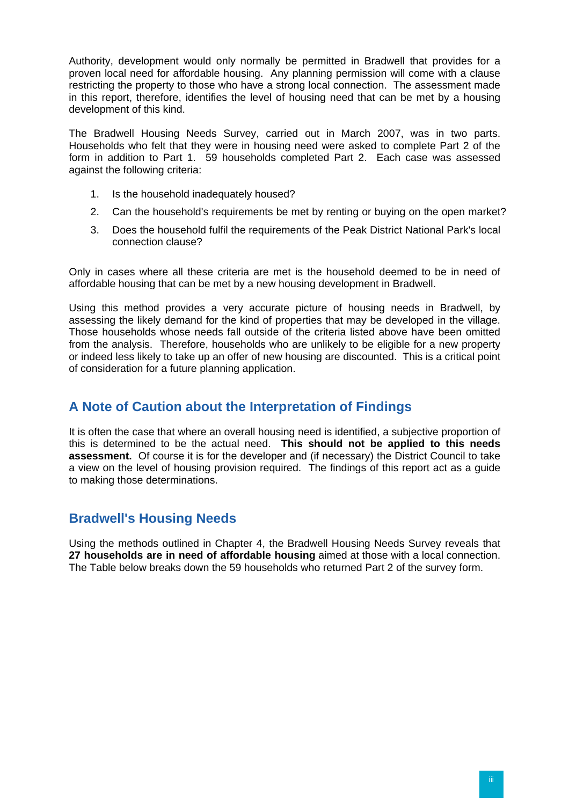Authority, development would only normally be permitted in Bradwell that provides for a proven local need for affordable housing. Any planning permission will come with a clause restricting the property to those who have a strong local connection. The assessment made in this report, therefore, identifies the level of housing need that can be met by a housing development of this kind.

The Bradwell Housing Needs Survey, carried out in March 2007, was in two parts. Households who felt that they were in housing need were asked to complete Part 2 of the form in addition to Part 1. 59 households completed Part 2. Each case was assessed against the following criteria:

- 1. Is the household inadequately housed?
- 2. Can the household's requirements be met by renting or buying on the open market?
- 3. Does the household fulfil the requirements of the Peak District National Park's local connection clause?

Only in cases where all these criteria are met is the household deemed to be in need of affordable housing that can be met by a new housing development in Bradwell.

Using this method provides a very accurate picture of housing needs in Bradwell, by assessing the likely demand for the kind of properties that may be developed in the village. Those households whose needs fall outside of the criteria listed above have been omitted from the analysis. Therefore, households who are unlikely to be eligible for a new property or indeed less likely to take up an offer of new housing are discounted. This is a critical point of consideration for a future planning application.

## **A Note of Caution about the Interpretation of Findings**

It is often the case that where an overall housing need is identified, a subjective proportion of this is determined to be the actual need. **This should not be applied to this needs assessment.** Of course it is for the developer and (if necessary) the District Council to take a view on the level of housing provision required. The findings of this report act as a guide to making those determinations.

## **Bradwell's Housing Needs**

Using the methods outlined in Chapter 4, the Bradwell Housing Needs Survey reveals that **27 households are in need of affordable housing** aimed at those with a local connection. The Table below breaks down the 59 households who returned Part 2 of the survey form.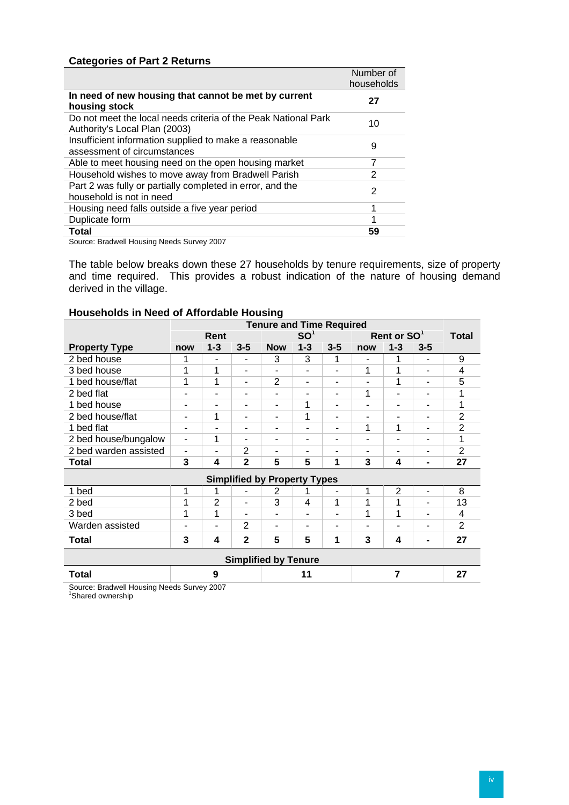#### **Categories of Part 2 Returns**

|                                                                                                 | Number of<br>households |
|-------------------------------------------------------------------------------------------------|-------------------------|
| In need of new housing that cannot be met by current<br>housing stock                           | 27                      |
| Do not meet the local needs criteria of the Peak National Park<br>Authority's Local Plan (2003) | 10                      |
| Insufficient information supplied to make a reasonable<br>assessment of circumstances           | 9                       |
| Able to meet housing need on the open housing market                                            | 7                       |
| Household wishes to move away from Bradwell Parish                                              | 2                       |
| Part 2 was fully or partially completed in error, and the<br>household is not in need           | 2                       |
| Housing need falls outside a five year period                                                   | 1                       |
| Duplicate form                                                                                  | 4                       |
| Total                                                                                           | 59                      |

Source: Bradwell Housing Needs Survey 2007

The table below breaks down these 27 households by tenure requirements, size of property and time required. This provides a robust indication of the nature of housing demand derived in the village.

#### **Households in Need of Affordable Housing**

|                             | <b>Tenure and Time Required</b> |                          |                          |                                     |                          |         |     |                         |                |                |
|-----------------------------|---------------------------------|--------------------------|--------------------------|-------------------------------------|--------------------------|---------|-----|-------------------------|----------------|----------------|
|                             |                                 | Rent                     |                          |                                     | SO <sup>1</sup>          |         |     | Rent or SO <sup>1</sup> |                | <b>Total</b>   |
| <b>Property Type</b>        | now                             | $1 - 3$                  | $3 - 5$                  | <b>Now</b>                          | $1 - 3$                  | $3 - 5$ | now | $1 - 3$                 | $3 - 5$        |                |
| 2 bed house                 |                                 | ٠                        | $\overline{\phantom{a}}$ | 3                                   | 3                        | 1       | ۰   | 1                       | ۰              | 9              |
| 3 bed house                 | 1                               | 1                        | ٠                        | ۰                                   | ٠                        | ۰       | 1   | 1                       | ۰              | 4              |
| 1 bed house/flat            | 1                               | 1                        | $\overline{\phantom{a}}$ | 2                                   | $\blacksquare$           | ۰       | ۰   | 1                       | ۰              | 5              |
| 2 bed flat                  | Ξ.                              | ۰                        | $\overline{\phantom{a}}$ | ۰                                   | $\overline{\phantom{0}}$ | ۰       | 1   | ۰                       | ٠              | 1              |
| 1 bed house                 | -                               | ۰                        | ٠                        | ۰                                   | 1                        | ۰       | ۰   | ۰                       | ٠              | 1              |
| 2 bed house/flat            | ۰                               | 1                        | ٠                        | ٠                                   | 1                        | ۰       | ۰   | -                       | ۰              | $\overline{2}$ |
| 1 bed flat                  | ۰                               | ۰                        | $\overline{\phantom{0}}$ | ۰                                   | $\blacksquare$           | ۰       | 1   | 1                       | ٠              | $\overline{2}$ |
| 2 bed house/bungalow        | ٠                               | 1                        | ۰                        | ٠                                   | $\overline{\phantom{a}}$ | ۰       | ۰   | ۰                       | ۰              | 1              |
| 2 bed warden assisted       | ۰                               | ۰                        | $\overline{2}$           | ۰                                   | ٠                        | ۰       | -   | ۰                       | ۰              | $\overline{2}$ |
| Total                       | 3                               | 4                        | $\mathbf{2}$             | 5                                   | 5                        | 1       | 3   | 4                       | $\blacksquare$ | 27             |
|                             |                                 |                          |                          | <b>Simplified by Property Types</b> |                          |         |     |                         |                |                |
| 1 bed                       | 1                               | 1                        | $\overline{\phantom{a}}$ | 2                                   |                          | ۰       | 1   | $\overline{2}$          | ٠              | 8              |
| 2 bed                       | 1                               | $\overline{2}$           | $\overline{\phantom{a}}$ | 3                                   | 4                        | 1       | 1   | 1                       | ٠              | 13             |
| 3 bed                       | 1                               | 1                        | ٠                        | ۰                                   | $\overline{\phantom{a}}$ | ۰       | 1   | 1                       | -              | 4              |
| Warden assisted             | -                               | $\overline{\phantom{0}}$ | $\overline{2}$           | -                                   | $\overline{\phantom{a}}$ | ۰       | -   | ۰                       | ۰              | $\overline{2}$ |
| <b>Total</b>                | 3                               | 4                        | $\overline{2}$           | 5                                   | 5                        | 1       | 3   | 4                       | -              | 27             |
| <b>Simplified by Tenure</b> |                                 |                          |                          |                                     |                          |         |     |                         |                |                |
| Total                       |                                 | 9                        |                          |                                     | 11                       |         |     | $\overline{7}$          |                | 27             |

Source: Bradwell Housing Needs Survey 2007 1 Shared ownership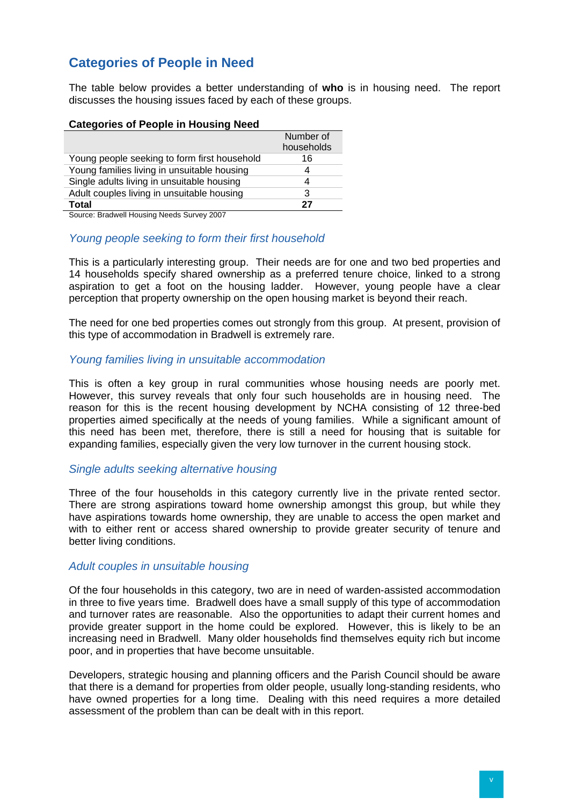# **Categories of People in Need**

The table below provides a better understanding of **who** is in housing need. The report discusses the housing issues faced by each of these groups.

#### **Categories of People in Housing Need**

|                                              | Number of<br>households |
|----------------------------------------------|-------------------------|
| Young people seeking to form first household | 16                      |
| Young families living in unsuitable housing  | 4                       |
| Single adults living in unsuitable housing   | 4                       |
| Adult couples living in unsuitable housing   | 3                       |
| Total                                        | 27                      |
|                                              |                         |

Source: Bradwell Housing Needs Survey 2007

#### *Young people seeking to form their first household*

This is a particularly interesting group. Their needs are for one and two bed properties and 14 households specify shared ownership as a preferred tenure choice, linked to a strong aspiration to get a foot on the housing ladder. However, young people have a clear perception that property ownership on the open housing market is beyond their reach.

The need for one bed properties comes out strongly from this group. At present, provision of this type of accommodation in Bradwell is extremely rare.

#### *Young families living in unsuitable accommodation*

This is often a key group in rural communities whose housing needs are poorly met. However, this survey reveals that only four such households are in housing need. The reason for this is the recent housing development by NCHA consisting of 12 three-bed properties aimed specifically at the needs of young families. While a significant amount of this need has been met, therefore, there is still a need for housing that is suitable for expanding families, especially given the very low turnover in the current housing stock.

#### *Single adults seeking alternative housing*

Three of the four households in this category currently live in the private rented sector. There are strong aspirations toward home ownership amongst this group, but while they have aspirations towards home ownership, they are unable to access the open market and with to either rent or access shared ownership to provide greater security of tenure and better living conditions.

#### *Adult couples in unsuitable housing*

Of the four households in this category, two are in need of warden-assisted accommodation in three to five years time. Bradwell does have a small supply of this type of accommodation and turnover rates are reasonable. Also the opportunities to adapt their current homes and provide greater support in the home could be explored. However, this is likely to be an increasing need in Bradwell. Many older households find themselves equity rich but income poor, and in properties that have become unsuitable.

Developers, strategic housing and planning officers and the Parish Council should be aware that there is a demand for properties from older people, usually long-standing residents, who have owned properties for a long time. Dealing with this need requires a more detailed assessment of the problem than can be dealt with in this report.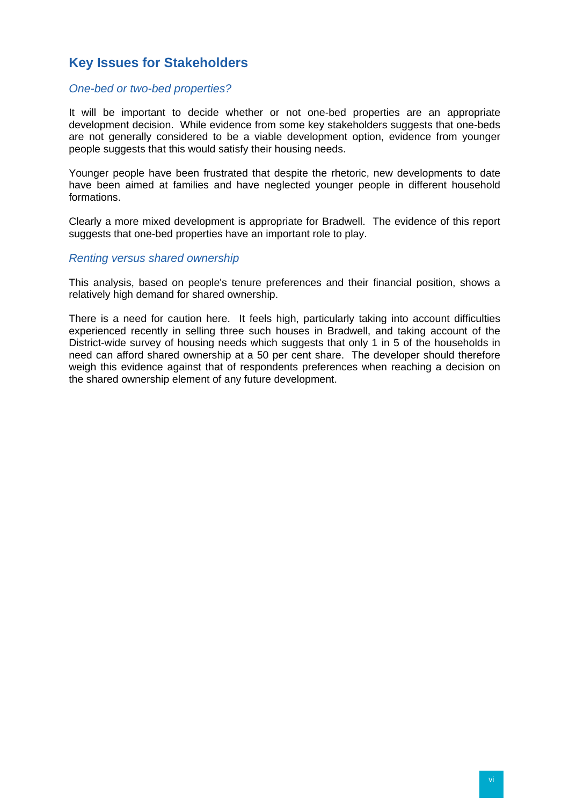# **Key Issues for Stakeholders**

#### *One-bed or two-bed properties?*

It will be important to decide whether or not one-bed properties are an appropriate development decision. While evidence from some key stakeholders suggests that one-beds are not generally considered to be a viable development option, evidence from younger people suggests that this would satisfy their housing needs.

Younger people have been frustrated that despite the rhetoric, new developments to date have been aimed at families and have neglected younger people in different household formations.

Clearly a more mixed development is appropriate for Bradwell. The evidence of this report suggests that one-bed properties have an important role to play.

#### *Renting versus shared ownership*

This analysis, based on people's tenure preferences and their financial position, shows a relatively high demand for shared ownership.

There is a need for caution here. It feels high, particularly taking into account difficulties experienced recently in selling three such houses in Bradwell, and taking account of the District-wide survey of housing needs which suggests that only 1 in 5 of the households in need can afford shared ownership at a 50 per cent share. The developer should therefore weigh this evidence against that of respondents preferences when reaching a decision on the shared ownership element of any future development.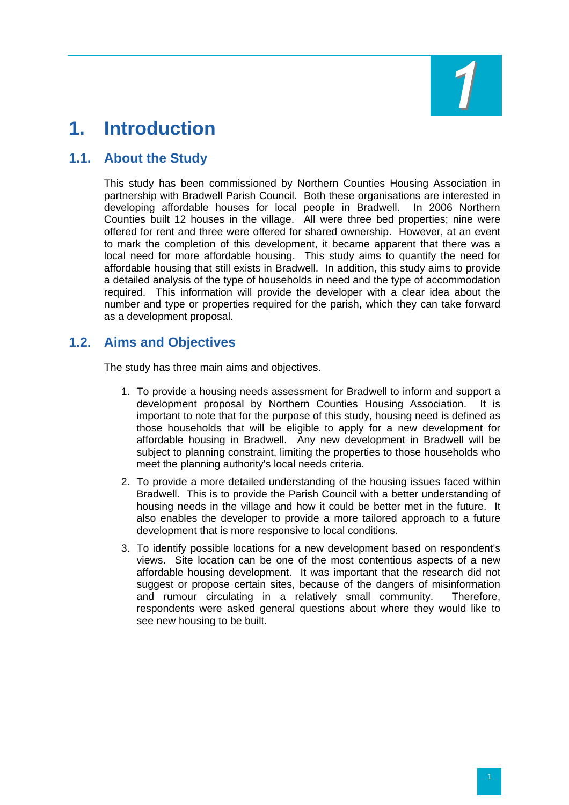

# <span id="page-11-0"></span>**1. Introduction**

# **1.1. About the Study**

This study has been commissioned by Northern Counties Housing Association in partnership with Bradwell Parish Council. Both these organisations are interested in developing affordable houses for local people in Bradwell. In 2006 Northern Counties built 12 houses in the village. All were three bed properties; nine were offered for rent and three were offered for shared ownership. However, at an event to mark the completion of this development, it became apparent that there was a local need for more affordable housing. This study aims to quantify the need for affordable housing that still exists in Bradwell. In addition, this study aims to provide a detailed analysis of the type of households in need and the type of accommodation required. This information will provide the developer with a clear idea about the number and type or properties required for the parish, which they can take forward as a development proposal.

#### **1.2. Aims and Objectives**

The study has three main aims and objectives.

- 1. To provide a housing needs assessment for Bradwell to inform and support a development proposal by Northern Counties Housing Association. It is important to note that for the purpose of this study, housing need is defined as those households that will be eligible to apply for a new development for affordable housing in Bradwell. Any new development in Bradwell will be subject to planning constraint, limiting the properties to those households who meet the planning authority's local needs criteria.
- 2. To provide a more detailed understanding of the housing issues faced within Bradwell. This is to provide the Parish Council with a better understanding of housing needs in the village and how it could be better met in the future. It also enables the developer to provide a more tailored approach to a future development that is more responsive to local conditions.
- 3. To identify possible locations for a new development based on respondent's views. Site location can be one of the most contentious aspects of a new affordable housing development. It was important that the research did not suggest or propose certain sites, because of the dangers of misinformation and rumour circulating in a relatively small community. Therefore, respondents were asked general questions about where they would like to see new housing to be built.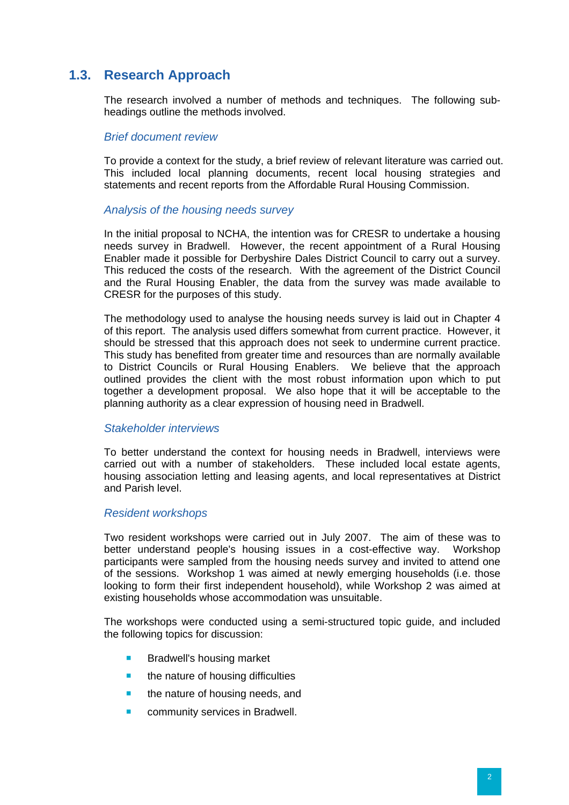# <span id="page-12-0"></span>**1.3. Research Approach**

The research involved a number of methods and techniques. The following subheadings outline the methods involved.

#### *Brief document review*

To provide a context for the study, a brief review of relevant literature was carried out. This included local planning documents, recent local housing strategies and statements and recent reports from the Affordable Rural Housing Commission.

#### *Analysis of the housing needs survey*

In the initial proposal to NCHA, the intention was for CRESR to undertake a housing needs survey in Bradwell. However, the recent appointment of a Rural Housing Enabler made it possible for Derbyshire Dales District Council to carry out a survey. This reduced the costs of the research. With the agreement of the District Council and the Rural Housing Enabler, the data from the survey was made available to CRESR for the purposes of this study.

The methodology used to analyse the housing needs survey is laid out in Chapter 4 of this report. The analysis used differs somewhat from current practice. However, it should be stressed that this approach does not seek to undermine current practice. This study has benefited from greater time and resources than are normally available to District Councils or Rural Housing Enablers. We believe that the approach outlined provides the client with the most robust information upon which to put together a development proposal. We also hope that it will be acceptable to the planning authority as a clear expression of housing need in Bradwell.

#### *Stakeholder interviews*

To better understand the context for housing needs in Bradwell, interviews were carried out with a number of stakeholders. These included local estate agents, housing association letting and leasing agents, and local representatives at District and Parish level.

#### *Resident workshops*

Two resident workshops were carried out in July 2007. The aim of these was to better understand people's housing issues in a cost-effective way. Workshop participants were sampled from the housing needs survey and invited to attend one of the sessions. Workshop 1 was aimed at newly emerging households (i.e. those looking to form their first independent household), while Workshop 2 was aimed at existing households whose accommodation was unsuitable.

The workshops were conducted using a semi-structured topic guide, and included the following topics for discussion:

- Bradwell's housing market
- $\blacksquare$  the nature of housing difficulties
- **the nature of housing needs, and**
- community services in Bradwell.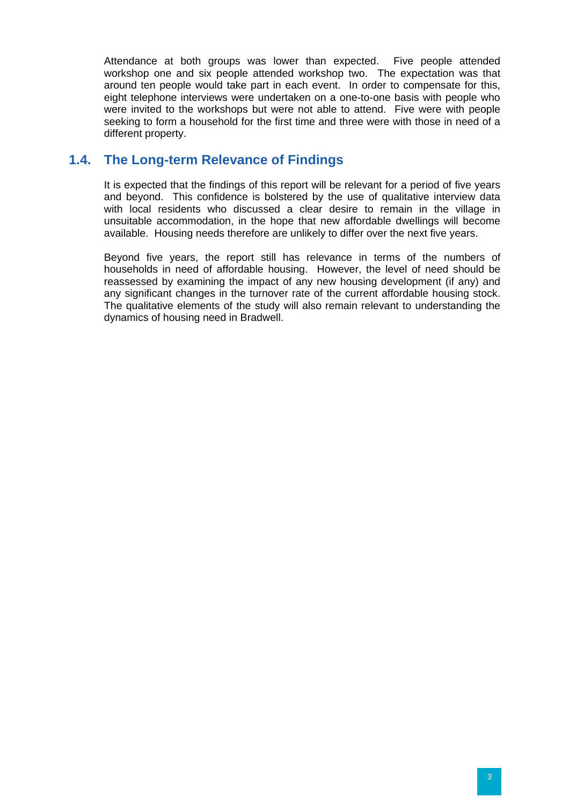<span id="page-13-0"></span>Attendance at both groups was lower than expected. Five people attended workshop one and six people attended workshop two. The expectation was that around ten people would take part in each event. In order to compensate for this, eight telephone interviews were undertaken on a one-to-one basis with people who were invited to the workshops but were not able to attend. Five were with people seeking to form a household for the first time and three were with those in need of a different property.

# **1.4. The Long-term Relevance of Findings**

It is expected that the findings of this report will be relevant for a period of five years and beyond. This confidence is bolstered by the use of qualitative interview data with local residents who discussed a clear desire to remain in the village in unsuitable accommodation, in the hope that new affordable dwellings will become available. Housing needs therefore are unlikely to differ over the next five years.

Beyond five years, the report still has relevance in terms of the numbers of households in need of affordable housing. However, the level of need should be reassessed by examining the impact of any new housing development (if any) and any significant changes in the turnover rate of the current affordable housing stock. The qualitative elements of the study will also remain relevant to understanding the dynamics of housing need in Bradwell.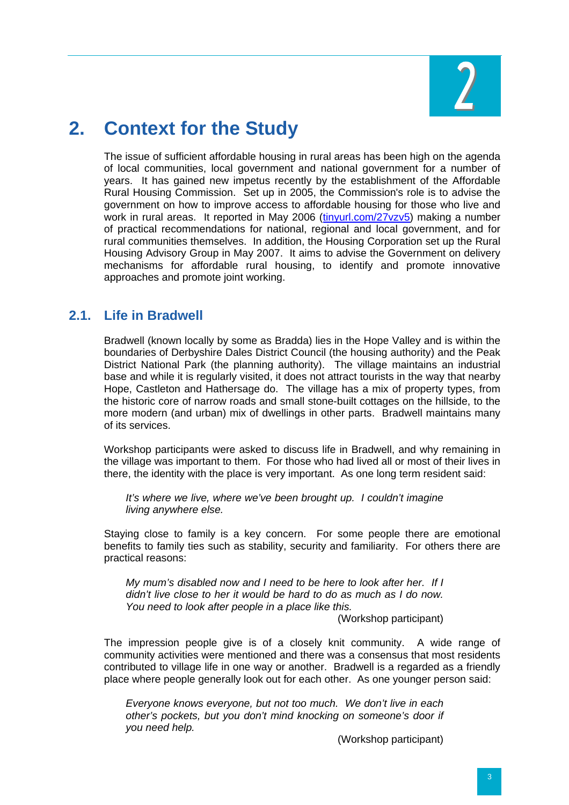

# <span id="page-14-0"></span>**2. Context for the Study**

The issue of sufficient affordable housing in rural areas has been high on the agenda of local communities, local government and national government for a number of years. It has gained new impetus recently by the establishment of the Affordable Rural Housing Commission. Set up in 2005, the Commission's role is to advise the government on how to improve access to affordable housing for those who live and work in rural areas. It reported in May 2006 ([tinyurl.com/27vzv5\)](http://tinyurl.com/27vzv5) making a number of practical recommendations for national, regional and local government, and for rural communities themselves. In addition, the Housing Corporation set up the Rural Housing Advisory Group in May 2007. It aims to advise the Government on delivery mechanisms for affordable rural housing, to identify and promote innovative approaches and promote joint working.

# **2.1. Life in Bradwell**

Bradwell (known locally by some as Bradda) lies in the Hope Valley and is within the boundaries of Derbyshire Dales District Council (the housing authority) and the Peak District National Park (the planning authority). The village maintains an industrial base and while it is regularly visited, it does not attract tourists in the way that nearby Hope, Castleton and Hathersage do. The village has a mix of property types, from the historic core of narrow roads and small stone-built cottages on the hillside, to the more modern (and urban) mix of dwellings in other parts. Bradwell maintains many of its services.

Workshop participants were asked to discuss life in Bradwell, and why remaining in the village was important to them. For those who had lived all or most of their lives in there, the identity with the place is very important. As one long term resident said:

*It's where we live, where we've been brought up. I couldn't imagine living anywhere else.* 

Staying close to family is a key concern. For some people there are emotional benefits to family ties such as stability, security and familiarity. For others there are practical reasons:

*My mum's disabled now and I need to be here to look after her. If I didn't live close to her it would be hard to do as much as I do now. You need to look after people in a place like this.* 

(Workshop participant)

The impression people give is of a closely knit community. A wide range of community activities were mentioned and there was a consensus that most residents contributed to village life in one way or another. Bradwell is a regarded as a friendly place where people generally look out for each other. As one younger person said:

*Everyone knows everyone, but not too much. We don't live in each other's pockets, but you don't mind knocking on someone's door if you need help.* 

(Workshop participant)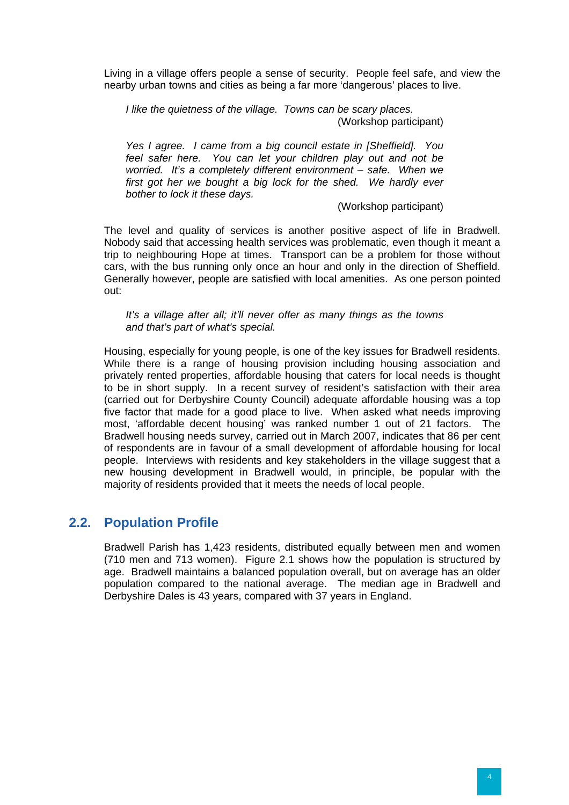<span id="page-15-0"></span>Living in a village offers people a sense of security. People feel safe, and view the nearby urban towns and cities as being a far more 'dangerous' places to live.

*I like the quietness of the village. Towns can be scary places.*  (Workshop participant)

*Yes I agree. I came from a big council estate in [Sheffield]. You feel safer here. You can let your children play out and not be worried. It's a completely different environment – safe. When we first got her we bought a big lock for the shed. We hardly ever bother to lock it these days.* 

(Workshop participant)

The level and quality of services is another positive aspect of life in Bradwell. Nobody said that accessing health services was problematic, even though it meant a trip to neighbouring Hope at times. Transport can be a problem for those without cars, with the bus running only once an hour and only in the direction of Sheffield. Generally however, people are satisfied with local amenities. As one person pointed out:

*It's a village after all; it'll never offer as many things as the towns and that's part of what's special.* 

Housing, especially for young people, is one of the key issues for Bradwell residents. While there is a range of housing provision including housing association and privately rented properties, affordable housing that caters for local needs is thought to be in short supply. In a recent survey of resident's satisfaction with their area (carried out for Derbyshire County Council) adequate affordable housing was a top five factor that made for a good place to live. When asked what needs improving most, 'affordable decent housing' was ranked number 1 out of 21 factors. The Bradwell housing needs survey, carried out in March 2007, indicates that 86 per cent of respondents are in favour of a small development of affordable housing for local people. Interviews with residents and key stakeholders in the village suggest that a new housing development in Bradwell would, in principle, be popular with the majority of residents provided that it meets the needs of local people.

## **2.2. Population Profile**

Bradwell Parish has 1,423 residents, distributed equally between men and women (710 men and 713 women). Figure 2.1 shows how the population is structured by age. Bradwell maintains a balanced population overall, but on average has an older population compared to the national average. The median age in Bradwell and Derbyshire Dales is 43 years, compared with 37 years in England.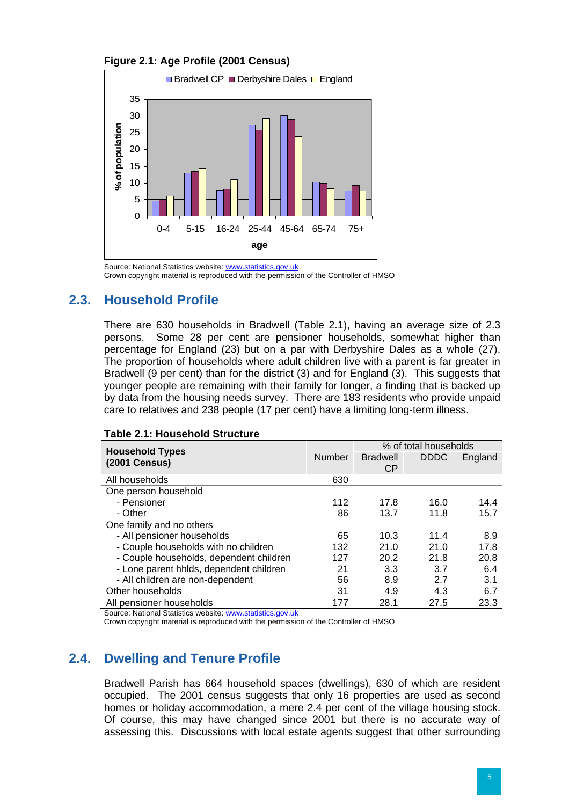<span id="page-16-0"></span>



Source: National Statistics website: [www.statistics.gov.uk](http://www.statistics.gov.uk/) Crown copyright material is reproduced with the permission of the Controller of HMSO

# **2.3. Household Profile**

There are 630 households in Bradwell (Table 2.1), having an average size of 2.3 persons. Some 28 per cent are pensioner households, somewhat higher than percentage for England (23) but on a par with Derbyshire Dales as a whole (27). The proportion of households where adult children live with a parent is far greater in Bradwell (9 per cent) than for the district (3) and for England (3). This suggests that younger people are remaining with their family for longer, a finding that is backed up by data from the housing needs survey. There are 183 residents who provide unpaid care to relatives and 238 people (17 per cent) have a limiting long-term illness.

|                                         |               | % of total households |             |         |  |
|-----------------------------------------|---------------|-----------------------|-------------|---------|--|
| <b>Household Types</b><br>(2001 Census) | <b>Number</b> | <b>Bradwell</b>       | <b>DDDC</b> | England |  |
|                                         |               | СP                    |             |         |  |
| All households                          | 630           |                       |             |         |  |
| One person household                    |               |                       |             |         |  |
| - Pensioner                             | 112           | 17.8                  | 16.0        | 14.4    |  |
| - Other                                 | 86            | 13.7                  | 11.8        | 15.7    |  |
| One family and no others                |               |                       |             |         |  |
| - All pensioner households              | 65            | 10.3                  | 11.4        | 8.9     |  |
| - Couple households with no children    | 132           | 21.0                  | 21.0        | 17.8    |  |
| - Couple households, dependent children | 127           | 20.2                  | 21.8        | 20.8    |  |
| - Lone parent hhlds, dependent children | 21            | 3.3                   | 3.7         | 6.4     |  |
| - All children are non-dependent        | 56            | 8.9                   | 2.7         | 3.1     |  |
| Other households                        | 31            | 4.9                   | 4.3         | 6.7     |  |
| All pensioner households                | 177           | 28.1                  | 27.5        | 23.3    |  |

#### **Table 2.1: Household Structure**

Source: National Statistics website: [www.statistics.gov.uk](http://www.statistics.gov.uk/)

Crown copyright material is reproduced with the permission of the Controller of HMSO

# **2.4. Dwelling and Tenure Profile**

Bradwell Parish has 664 household spaces (dwellings), 630 of which are resident occupied. The 2001 census suggests that only 16 properties are used as second homes or holiday accommodation, a mere 2.4 per cent of the village housing stock. Of course, this may have changed since 2001 but there is no accurate way of assessing this. Discussions with local estate agents suggest that other surrounding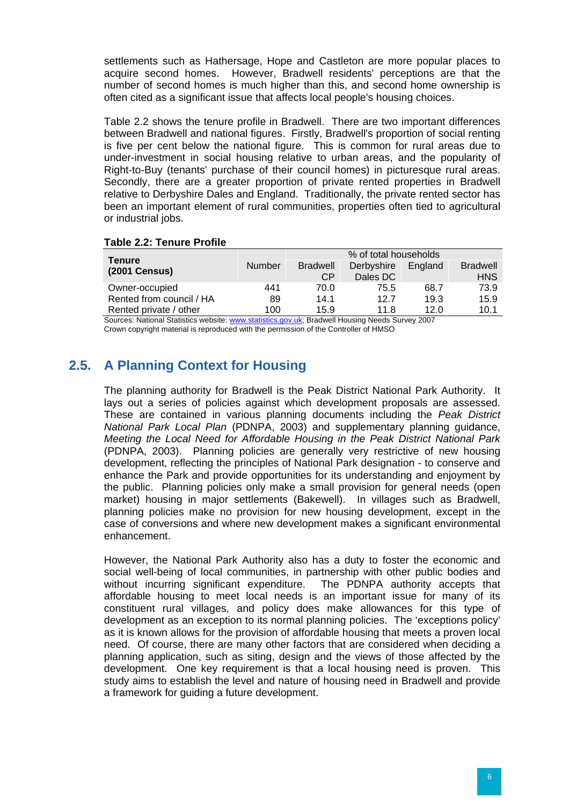<span id="page-17-0"></span>settlements such as Hathersage, Hope and Castleton are more popular places to acquire second homes. However, Bradwell residents' perceptions are that the number of second homes is much higher than this, and second home ownership is often cited as a significant issue that affects local people's housing choices.

Table 2.2 shows the tenure profile in Bradwell. There are two important differences between Bradwell and national figures. Firstly, Bradwell's proportion of social renting is five per cent below the national figure. This is common for rural areas due to under-investment in social housing relative to urban areas, and the popularity of Right-to-Buy (tenants' purchase of their council homes) in picturesque rural areas. Secondly, there are a greater proportion of private rented properties in Bradwell relative to Derbyshire Dales and England. Traditionally, the private rented sector has been an important element of rural communities, properties often tied to agricultural or industrial jobs.

#### **Table 2.2: Tenure Profile**

|                          |                                    |                 | % of total households    |                      |                 |
|--------------------------|------------------------------------|-----------------|--------------------------|----------------------|-----------------|
| <b>Tenure</b>            | <b>Number</b>                      | <b>Bradwell</b> | Derbyshire               | England              | <b>Bradwell</b> |
| <b>(2001 Census)</b>     |                                    | CP.             | Dales DC                 |                      | <b>HNS</b>      |
| Owner-occupied           | 441                                | 70.0            | 75.5                     | 68.7                 | 73.9            |
| Rented from council / HA | 89                                 | 14.1            | 12.7                     | 19.3                 | 15.9            |
| Rented private / other   | 100                                | 15.9            | 11.8                     | 12.0                 | 10.1            |
| $\sim$ $\sim$            | <b>Sales Address Street Street</b> | - -             | $\overline{\phantom{a}}$ | $\sim$ $\sim$ $\sim$ |                 |

Sources: National Statistics website: [www.statistics.gov.uk](http://www.statistics.gov.uk/); Bradwell Housing Needs Survey 2007 Crown copyright material is reproduced with the permission of the Controller of HMSO

# **2.5. A Planning Context for Housing**

The planning authority for Bradwell is the Peak District National Park Authority. It lays out a series of policies against which development proposals are assessed. These are contained in various planning documents including the *Peak District National Park Local Plan* (PDNPA, 2003) and supplementary planning guidance, *Meeting the Local Need for Affordable Housing in the Peak District National Park* (PDNPA, 2003). Planning policies are generally very restrictive of new housing development, reflecting the principles of National Park designation - to conserve and enhance the Park and provide opportunities for its understanding and enjoyment by the public. Planning policies only make a small provision for general needs (open market) housing in major settlements (Bakewell). In villages such as Bradwell, planning policies make no provision for new housing development, except in the case of conversions and where new development makes a significant environmental enhancement.

However, the National Park Authority also has a duty to foster the economic and social well-being of local communities, in partnership with other public bodies and without incurring significant expenditure. The PDNPA authority accepts that affordable housing to meet local needs is an important issue for many of its constituent rural villages, and policy does make allowances for this type of development as an exception to its normal planning policies. The 'exceptions policy' as it is known allows for the provision of affordable housing that meets a proven local need. Of course, there are many other factors that are considered when deciding a planning application, such as siting, design and the views of those affected by the development. One key requirement is that a local housing need is proven. This study aims to establish the level and nature of housing need in Bradwell and provide a framework for guiding a future development.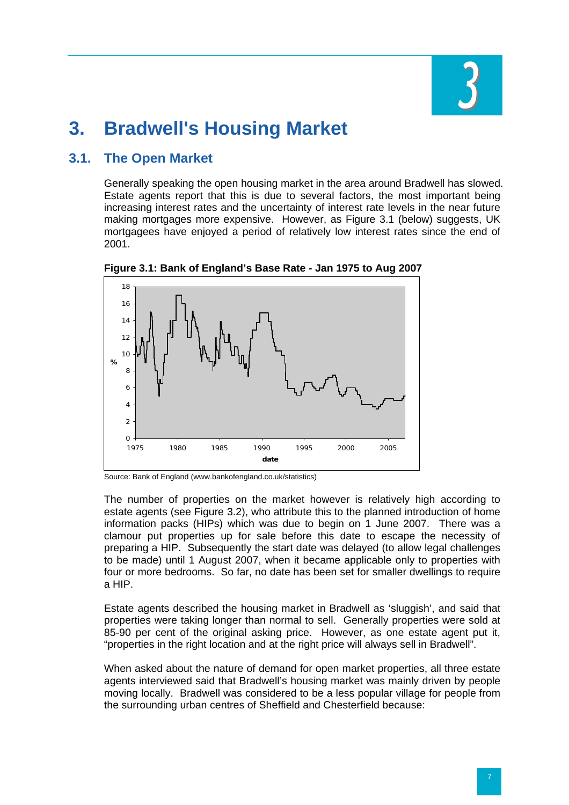

# <span id="page-18-0"></span>**3. Bradwell's Housing Market**

# **3.1. The Open Market**

Generally speaking the open housing market in the area around Bradwell has slowed. Estate agents report that this is due to several factors, the most important being increasing interest rates and the uncertainty of interest rate levels in the near future making mortgages more expensive. However, as Figure 3.1 (below) suggests, UK mortgagees have enjoyed a period of relatively low interest rates since the end of 2001.



**Figure 3.1: Bank of England's Base Rate - Jan 1975 to Aug 2007** 

Source: Bank of England (www.bankofengland.co.uk/statistics)

The number of properties on the market however is relatively high according to estate agents (see Figure 3.2), who attribute this to the planned introduction of home information packs (HIPs) which was due to begin on 1 June 2007. There was a clamour put properties up for sale before this date to escape the necessity of preparing a HIP. Subsequently the start date was delayed (to allow legal challenges to be made) until 1 August 2007, when it became applicable only to properties with four or more bedrooms. So far, no date has been set for smaller dwellings to require a HIP.

Estate agents described the housing market in Bradwell as 'sluggish', and said that properties were taking longer than normal to sell. Generally properties were sold at 85-90 per cent of the original asking price. However, as one estate agent put it, "properties in the right location and at the right price will always sell in Bradwell".

When asked about the nature of demand for open market properties, all three estate agents interviewed said that Bradwell's housing market was mainly driven by people moving locally. Bradwell was considered to be a less popular village for people from the surrounding urban centres of Sheffield and Chesterfield because: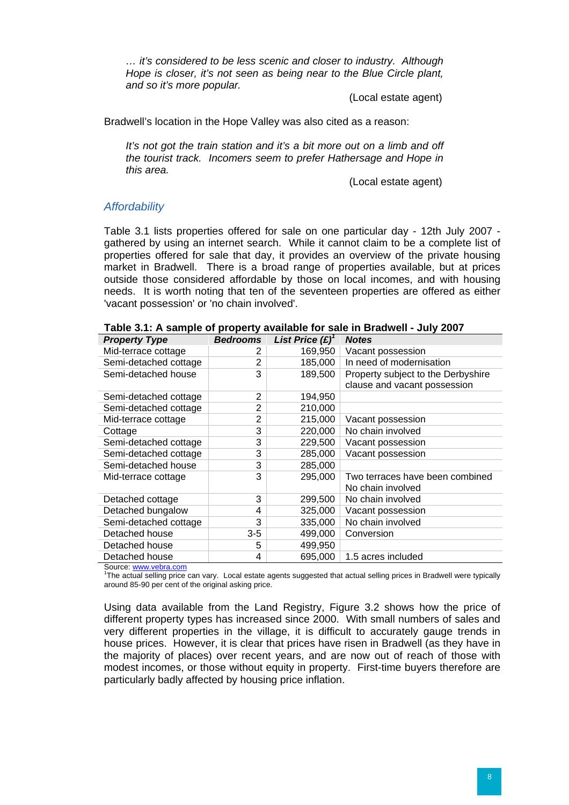*… it's considered to be less scenic and closer to industry. Although Hope is closer, it's not seen as being near to the Blue Circle plant, and so it's more popular.* 

(Local estate agent)

Bradwell's location in the Hope Valley was also cited as a reason:

*It's not got the train station and it's a bit more out on a limb and off the tourist track. Incomers seem to prefer Hathersage and Hope in this area.* 

(Local estate agent)

#### *Affordability*

Table 3.1 lists properties offered for sale on one particular day - 12th July 2007 gathered by using an internet search. While it cannot claim to be a complete list of properties offered for sale that day, it provides an overview of the private housing market in Bradwell. There is a broad range of properties available, but at prices outside those considered affordable by those on local incomes, and with housing needs. It is worth noting that ten of the seventeen properties are offered as either 'vacant possession' or 'no chain involved'.

| <b>Property Type</b>  | <b>Bedrooms</b> | List Price $(E)^{1}$ | <b>Notes</b>                       |
|-----------------------|-----------------|----------------------|------------------------------------|
| Mid-terrace cottage   | 2               | 169,950              | Vacant possession                  |
| Semi-detached cottage | 2               | 185,000              | In need of modernisation           |
| Semi-detached house   | 3               | 189,500              | Property subject to the Derbyshire |
|                       |                 |                      | clause and vacant possession       |
| Semi-detached cottage | 2               | 194,950              |                                    |
| Semi-detached cottage | 2               | 210,000              |                                    |
| Mid-terrace cottage   | $\overline{2}$  | 215,000              | Vacant possession                  |
| Cottage               | 3               | 220,000              | No chain involved                  |
| Semi-detached cottage | 3               | 229,500              | Vacant possession                  |
| Semi-detached cottage | 3               | 285,000              | Vacant possession                  |
| Semi-detached house   | 3               | 285,000              |                                    |
| Mid-terrace cottage   | 3               | 295,000              | Two terraces have been combined    |
|                       |                 |                      | No chain involved                  |
| Detached cottage      | 3               | 299,500              | No chain involved                  |
| Detached bungalow     | 4               | 325,000              | Vacant possession                  |
| Semi-detached cottage | 3               | 335,000              | No chain involved                  |
| Detached house        | $3-5$           | 499,000              | Conversion                         |
| Detached house        | 5               | 499,950              |                                    |
| Detached house        | 4               | 695,000              | 1.5 acres included                 |
| Source www.wohro.com  |                 |                      |                                    |

|  |  | Table 3.1: A sample of property available for sale in Bradwell - July 2007 |  |
|--|--|----------------------------------------------------------------------------|--|
|--|--|----------------------------------------------------------------------------|--|

urce: [www.vebra.com](http://www.vebra.com/)

<sup>1</sup>The actual selling price can vary. Local estate agents suggested that actual selling prices in Bradwell were typically around 85-90 per cent of the original asking price.

Using data available from the Land Registry, Figure 3.2 shows how the price of different property types has increased since 2000. With small numbers of sales and very different properties in the village, it is difficult to accurately gauge trends in house prices. However, it is clear that prices have risen in Bradwell (as they have in the majority of places) over recent years, and are now out of reach of those with modest incomes, or those without equity in property. First-time buyers therefore are particularly badly affected by housing price inflation.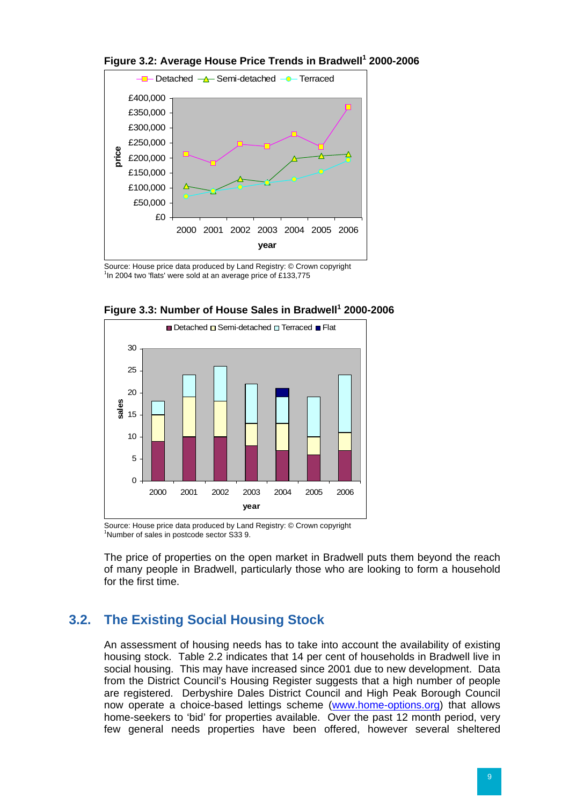

#### <span id="page-20-0"></span>**Figure 3.2: Average House Price Trends in Bradwell<sup>1</sup> 2000-2006**

Source: House price data produced by Land Registry: © Crown copyright <sup>1</sup>In 2004 two 'flats' were sold at an average price of £133,775





Source: House price data produced by Land Registry: © Crown copyright <sup>1</sup>Number of sales in postcode sector S33 9.

The price of properties on the open market in Bradwell puts them beyond the reach of many people in Bradwell, particularly those who are looking to form a household for the first time.

# **3.2. The Existing Social Housing Stock**

An assessment of housing needs has to take into account the availability of existing housing stock. Table 2.2 indicates that 14 per cent of households in Bradwell live in social housing. This may have increased since 2001 due to new development. Data from the District Council's Housing Register suggests that a high number of people are registered. Derbyshire Dales District Council and High Peak Borough Council now operate a choice-based lettings scheme [\(www.home-options.org\)](http://www.home-options.org/) that allows home-seekers to 'bid' for properties available. Over the past 12 month period, very few general needs properties have been offered, however several sheltered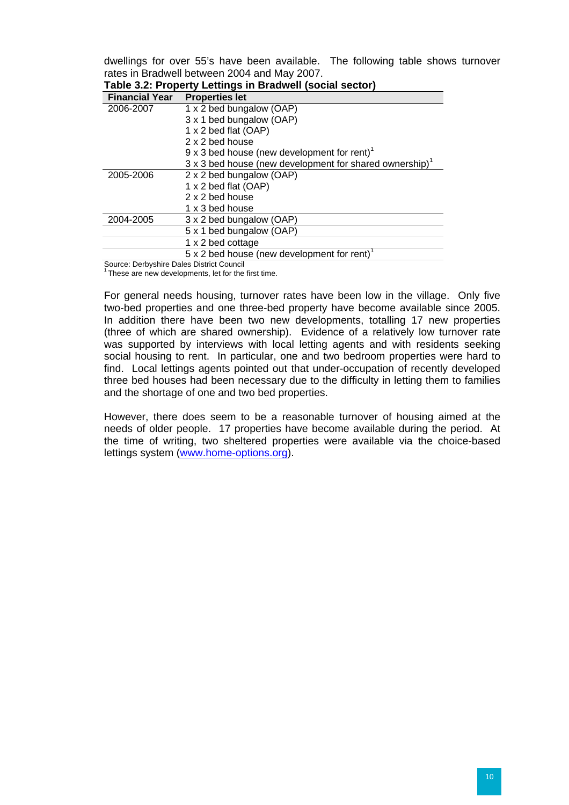dwellings for over 55's have been available. The following table shows turnover rates in Bradwell between 2004 and May 2007.

| Table 3.2: Property Lettings in Bradwell (social sector) |                                                                            |  |  |  |
|----------------------------------------------------------|----------------------------------------------------------------------------|--|--|--|
| <b>Financial Year</b>                                    | <b>Properties let</b>                                                      |  |  |  |
| 2006-2007                                                | 1 x 2 bed bungalow (OAP)                                                   |  |  |  |
|                                                          | 3 x 1 bed bungalow (OAP)                                                   |  |  |  |
|                                                          | 1 x 2 bed flat (OAP)                                                       |  |  |  |
|                                                          | 2 x 2 bed house                                                            |  |  |  |
|                                                          | $9 \times 3$ bed house (new development for rent) <sup>1</sup>             |  |  |  |
|                                                          | $3 \times 3$ bed house (new development for shared ownership) <sup>1</sup> |  |  |  |
| 2005-2006                                                | 2 x 2 bed bungalow (OAP)                                                   |  |  |  |
|                                                          | 1 x 2 bed flat (OAP)                                                       |  |  |  |
|                                                          | 2 x 2 bed house                                                            |  |  |  |
|                                                          | 1 x 3 bed house                                                            |  |  |  |
| 2004-2005                                                | 3 x 2 bed bungalow (OAP)                                                   |  |  |  |
|                                                          | 5 x 1 bed bungalow (OAP)                                                   |  |  |  |
|                                                          | 1 x 2 bed cottage                                                          |  |  |  |
|                                                          | $5 \times 2$ bed house (new development for rent) <sup>1</sup>             |  |  |  |
| Source: Derbyshire Dales District Council                |                                                                            |  |  |  |

Source: Derbyshire Dales District Council 1 These are new developments, let for the first time.

For general needs housing, turnover rates have been low in the village. Only five two-bed properties and one three-bed property have become available since 2005. In addition there have been two new developments, totalling 17 new properties (three of which are shared ownership). Evidence of a relatively low turnover rate was supported by interviews with local letting agents and with residents seeking social housing to rent. In particular, one and two bedroom properties were hard to find. Local lettings agents pointed out that under-occupation of recently developed three bed houses had been necessary due to the difficulty in letting them to families and the shortage of one and two bed properties.

However, there does seem to be a reasonable turnover of housing aimed at the needs of older people. 17 properties have become available during the period. At the time of writing, two sheltered properties were available via the choice-based lettings system [\(www.home-options.org\)](http://www.home-options.org/).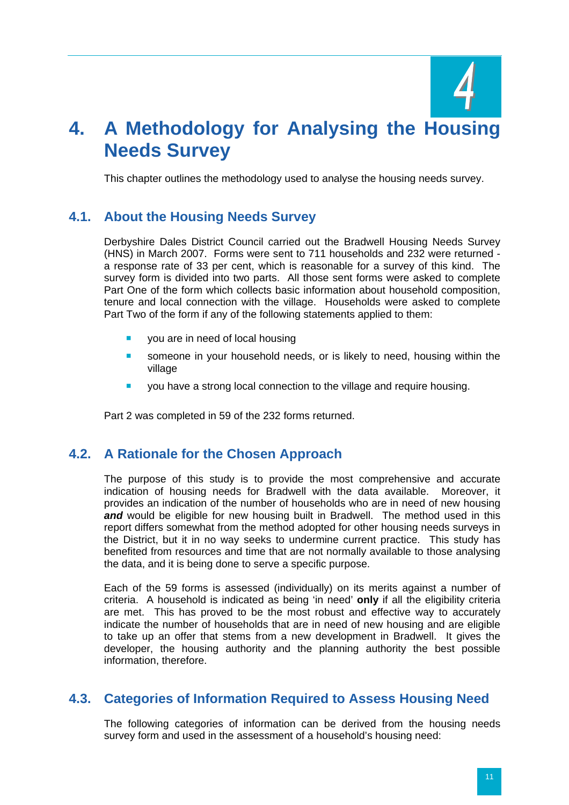

# <span id="page-22-0"></span>**4. A Methodology for Analysing the Housing Needs Survey**

This chapter outlines the methodology used to analyse the housing needs survey.

# **4.1. About the Housing Needs Survey**

Derbyshire Dales District Council carried out the Bradwell Housing Needs Survey (HNS) in March 2007. Forms were sent to 711 households and 232 were returned a response rate of 33 per cent, which is reasonable for a survey of this kind. The survey form is divided into two parts. All those sent forms were asked to complete Part One of the form which collects basic information about household composition, tenure and local connection with the village. Households were asked to complete Part Two of the form if any of the following statements applied to them:

- you are in need of local housing
- **someone in your household needs, or is likely to need, housing within the** village
- **v** you have a strong local connection to the village and require housing.

Part 2 was completed in 59 of the 232 forms returned.

## **4.2. A Rationale for the Chosen Approach**

The purpose of this study is to provide the most comprehensive and accurate indication of housing needs for Bradwell with the data available. Moreover, it provides an indication of the number of households who are in need of new housing and would be eligible for new housing built in Bradwell. The method used in this report differs somewhat from the method adopted for other housing needs surveys in the District, but it in no way seeks to undermine current practice. This study has benefited from resources and time that are not normally available to those analysing the data, and it is being done to serve a specific purpose.

Each of the 59 forms is assessed (individually) on its merits against a number of criteria. A household is indicated as being 'in need' **only** if all the eligibility criteria are met. This has proved to be the most robust and effective way to accurately indicate the number of households that are in need of new housing and are eligible to take up an offer that stems from a new development in Bradwell. It gives the developer, the housing authority and the planning authority the best possible information, therefore.

## **4.3. Categories of Information Required to Assess Housing Need**

The following categories of information can be derived from the housing needs survey form and used in the assessment of a household's housing need: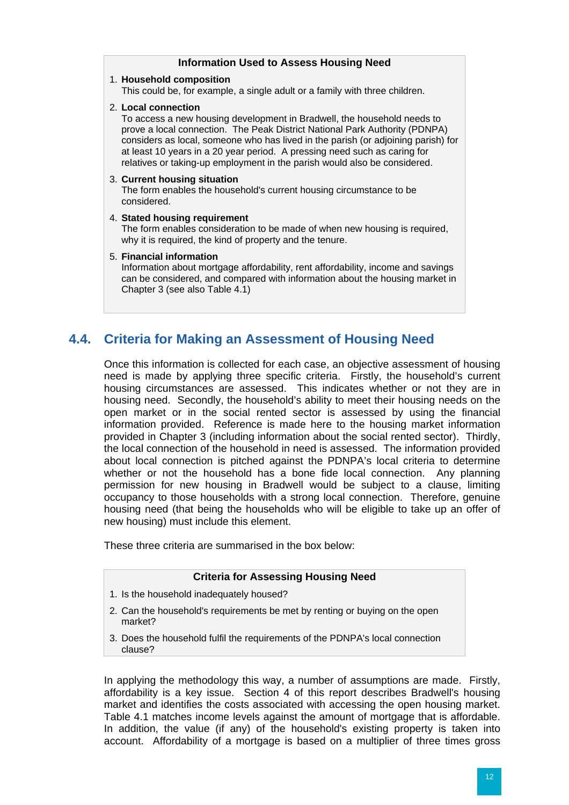<span id="page-23-0"></span>

| <b>Information Used to Assess Housing Need</b>                                                                                                                                                                                                                                                                                                                                                                               |
|------------------------------------------------------------------------------------------------------------------------------------------------------------------------------------------------------------------------------------------------------------------------------------------------------------------------------------------------------------------------------------------------------------------------------|
| 1. Household composition<br>This could be, for example, a single adult or a family with three children.                                                                                                                                                                                                                                                                                                                      |
| 2. Local connection<br>To access a new housing development in Bradwell, the household needs to<br>prove a local connection. The Peak District National Park Authority (PDNPA)<br>considers as local, someone who has lived in the parish (or adjoining parish) for<br>at least 10 years in a 20 year period. A pressing need such as caring for<br>relatives or taking-up employment in the parish would also be considered. |
| 3. Current housing situation<br>The form enables the household's current housing circumstance to be<br>considered.                                                                                                                                                                                                                                                                                                           |
| 4. Stated housing requirement<br>The form enables consideration to be made of when new housing is required,<br>why it is required, the kind of property and the tenure.                                                                                                                                                                                                                                                      |
| 5. Financial information<br>Information about mortgage affordability, rent affordability, income and savings<br>can be considered, and compared with information about the housing market in<br>Chapter 3 (see also Table 4.1)                                                                                                                                                                                               |

# **4.4. Criteria for Making an Assessment of Housing Need**

Once this information is collected for each case, an objective assessment of housing need is made by applying three specific criteria. Firstly, the household's current housing circumstances are assessed. This indicates whether or not they are in housing need. Secondly, the household's ability to meet their housing needs on the open market or in the social rented sector is assessed by using the financial information provided. Reference is made here to the housing market information provided in Chapter 3 (including information about the social rented sector). Thirdly, the local connection of the household in need is assessed. The information provided about local connection is pitched against the PDNPA's local criteria to determine whether or not the household has a bone fide local connection. Any planning permission for new housing in Bradwell would be subject to a clause, limiting occupancy to those households with a strong local connection. Therefore, genuine housing need (that being the households who will be eligible to take up an offer of new housing) must include this element.

These three criteria are summarised in the box below:

#### **Criteria for Assessing Housing Need**

- 1. Is the household inadequately housed?
- 2. Can the household's requirements be met by renting or buying on the open market?
- 3. Does the household fulfil the requirements of the PDNPA's local connection clause?

In applying the methodology this way, a number of assumptions are made. Firstly, affordability is a key issue. Section 4 of this report describes Bradwell's housing market and identifies the costs associated with accessing the open housing market. Table 4.1 matches income levels against the amount of mortgage that is affordable. In addition, the value (if any) of the household's existing property is taken into account. Affordability of a mortgage is based on a multiplier of three times gross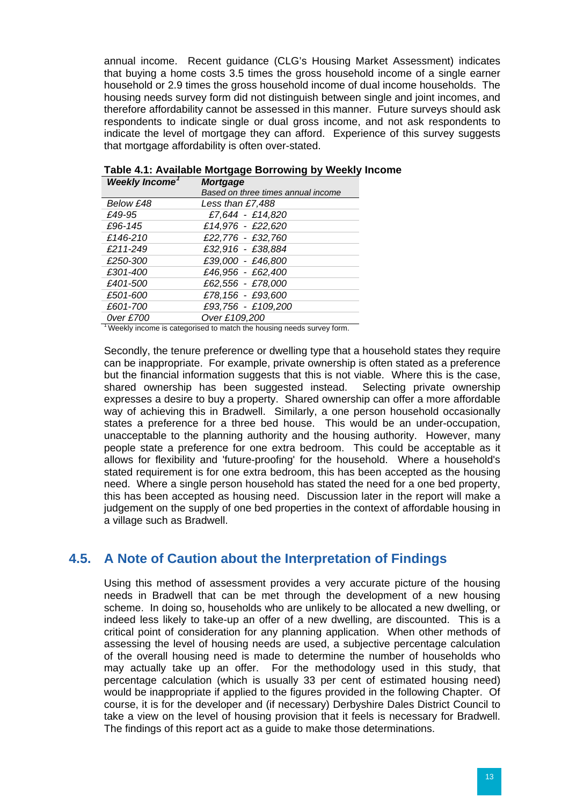<span id="page-24-0"></span>annual income. Recent guidance (CLG's Housing Market Assessment) indicates that buying a home costs 3.5 times the gross household income of a single earner household or 2.9 times the gross household income of dual income households. The housing needs survey form did not distinguish between single and joint incomes, and therefore affordability cannot be assessed in this manner. Future surveys should ask respondents to indicate single or dual gross income, and not ask respondents to indicate the level of mortgage they can afford. Experience of this survey suggests that mortgage affordability is often over-stated.

| <b>Weekly Income'</b> | <b>Mortgage</b>                    |
|-----------------------|------------------------------------|
|                       | Based on three times annual income |
| Below £48             | Less than £7,488                   |
| £49-95                | £7,644 - £14,820                   |
| £96-145               | £14,976 - £22,620                  |
| £146-210              | £22,776 - £32,760                  |
| £211-249              | £32,916 - £38,884                  |
| £250-300              | £39,000 - £46,800                  |
| £301-400              | £46,956 - £62,400                  |
| £401-500              | £62,556 - £78,000                  |
| £501-600              | £78,156 - £93,600                  |
| £601-700              | £93,756 - £109,200                 |
| 0ver £700             | Over £109,200                      |

**Table 4.1: Available Mortgage Borrowing by Weekly Income** 

 $1$  Weekly income is categorised to match the housing needs survey form.

Secondly, the tenure preference or dwelling type that a household states they require can be inappropriate. For example, private ownership is often stated as a preference but the financial information suggests that this is not viable. Where this is the case, shared ownership has been suggested instead. Selecting private ownership expresses a desire to buy a property. Shared ownership can offer a more affordable way of achieving this in Bradwell. Similarly, a one person household occasionally states a preference for a three bed house. This would be an under-occupation, unacceptable to the planning authority and the housing authority. However, many people state a preference for one extra bedroom. This could be acceptable as it allows for flexibility and 'future-proofing' for the household. Where a household's stated requirement is for one extra bedroom, this has been accepted as the housing need. Where a single person household has stated the need for a one bed property, this has been accepted as housing need. Discussion later in the report will make a judgement on the supply of one bed properties in the context of affordable housing in a village such as Bradwell.

## **4.5. A Note of Caution about the Interpretation of Findings**

Using this method of assessment provides a very accurate picture of the housing needs in Bradwell that can be met through the development of a new housing scheme. In doing so, households who are unlikely to be allocated a new dwelling, or indeed less likely to take-up an offer of a new dwelling, are discounted. This is a critical point of consideration for any planning application. When other methods of assessing the level of housing needs are used, a subjective percentage calculation of the overall housing need is made to determine the number of households who may actually take up an offer. For the methodology used in this study, that percentage calculation (which is usually 33 per cent of estimated housing need) would be inappropriate if applied to the figures provided in the following Chapter. Of course, it is for the developer and (if necessary) Derbyshire Dales District Council to take a view on the level of housing provision that it feels is necessary for Bradwell. The findings of this report act as a guide to make those determinations.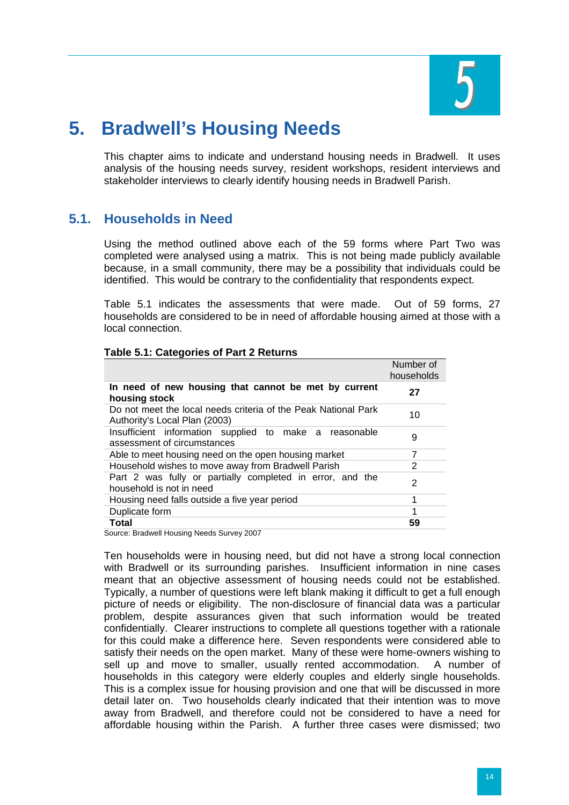

# <span id="page-25-0"></span>**5. Bradwell's Housing Needs**

This chapter aims to indicate and understand housing needs in Bradwell. It uses analysis of the housing needs survey, resident workshops, resident interviews and stakeholder interviews to clearly identify housing needs in Bradwell Parish.

## **5.1. Households in Need**

Using the method outlined above each of the 59 forms where Part Two was completed were analysed using a matrix. This is not being made publicly available because, in a small community, there may be a possibility that individuals could be identified. This would be contrary to the confidentiality that respondents expect.

Table 5.1 indicates the assessments that were made. Out of 59 forms, 27 households are considered to be in need of affordable housing aimed at those with a local connection.

|                                                                                                 | Number of<br>households |
|-------------------------------------------------------------------------------------------------|-------------------------|
| In need of new housing that cannot be met by current<br>housing stock                           | 27                      |
| Do not meet the local needs criteria of the Peak National Park<br>Authority's Local Plan (2003) | 10                      |
| Insufficient information supplied to make a reasonable<br>assessment of circumstances           | 9                       |
| Able to meet housing need on the open housing market                                            | 7                       |
| Household wishes to move away from Bradwell Parish                                              | 2                       |
| Part 2 was fully or partially completed in error, and the<br>household is not in need           | 2                       |
| Housing need falls outside a five year period                                                   | 1                       |
| Duplicate form                                                                                  | 1                       |
| <b>Total</b><br>$\cdots$ $\cdots$<br>.                                                          | 59                      |

#### **Table 5.1: Categories of Part 2 Returns**

Source: Bradwell Housing Needs Survey 2007

Ten households were in housing need, but did not have a strong local connection with Bradwell or its surrounding parishes. Insufficient information in nine cases meant that an objective assessment of housing needs could not be established. Typically, a number of questions were left blank making it difficult to get a full enough picture of needs or eligibility. The non-disclosure of financial data was a particular problem, despite assurances given that such information would be treated confidentially. Clearer instructions to complete all questions together with a rationale for this could make a difference here. Seven respondents were considered able to satisfy their needs on the open market. Many of these were home-owners wishing to sell up and move to smaller, usually rented accommodation. A number of households in this category were elderly couples and elderly single households. This is a complex issue for housing provision and one that will be discussed in more detail later on. Two households clearly indicated that their intention was to move away from Bradwell, and therefore could not be considered to have a need for affordable housing within the Parish. A further three cases were dismissed; two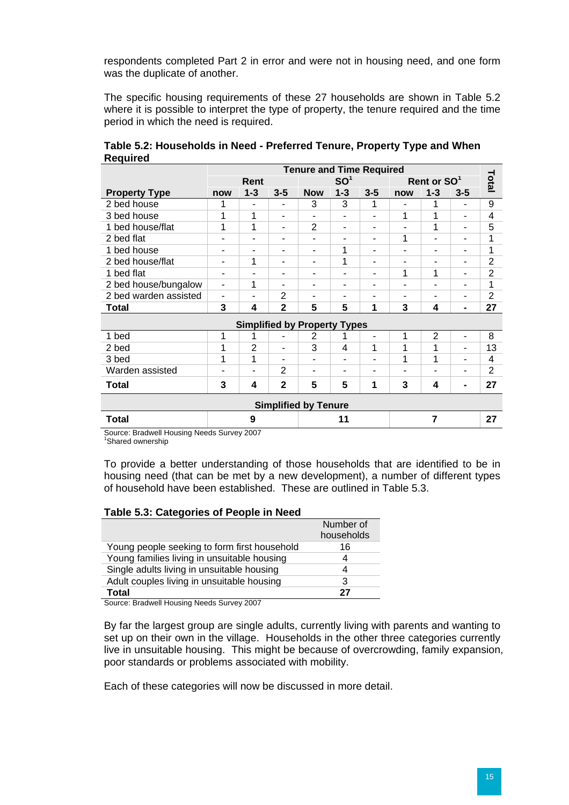respondents completed Part 2 in error and were not in housing need, and one form was the duplicate of another.

The specific housing requirements of these 27 households are shown in Table 5.2 where it is possible to interpret the type of property, the tenure required and the time period in which the need is required.

|                                     | <b>Tenure and Time Required</b> |                          |                          |                 |         |                |                          |                          |                          |                |
|-------------------------------------|---------------------------------|--------------------------|--------------------------|-----------------|---------|----------------|--------------------------|--------------------------|--------------------------|----------------|
|                                     | Rent                            |                          |                          | SO <sup>1</sup> |         |                | Rent or SO <sup>1</sup>  |                          |                          | Total          |
| <b>Property Type</b>                | now                             | $1 - 3$                  | $3 - 5$                  | <b>Now</b>      | $1 - 3$ | $3 - 5$        | now                      | $1 - 3$                  | $3 - 5$                  |                |
| 2 bed house                         | 1                               | $\blacksquare$           | ۰                        | 3               | 3       | 1              | $\overline{a}$           | 1                        | $\overline{\phantom{a}}$ | 9              |
| 3 bed house                         | 1                               | 1                        | ۰                        | ۰               | ۰       |                | 1                        | 1                        | ۰                        | $\overline{4}$ |
| 1 bed house/flat                    | 1                               | 1                        | ۰                        | $\overline{2}$  | ۰       | ۰              | ۰                        | 1                        | $\blacksquare$           | 5              |
| 2 bed flat                          |                                 | ۰                        | ۰                        | ٠               | ۰       | ۰              | 1                        | ۰                        | ۰                        | 1              |
| 1 bed house                         |                                 | ۰                        | ۰                        | ۰               | 1       | ۰              | ۰                        | ۰                        | ٠                        | 1              |
| 2 bed house/flat                    |                                 | 1                        | ۰                        | ٠               | 1       | ۰              | ۰                        | ۰                        | $\blacksquare$           | $\overline{2}$ |
| 1 bed flat                          | ۰                               | ٠                        | ۰                        | ٠               | ۰       | ۰              | 1                        | 1                        | ۰                        | $\overline{2}$ |
| 2 bed house/bungalow                | $\overline{\phantom{a}}$        | 1                        | ۰                        | ۰               | ۰       |                | ۰                        |                          | ۰                        | 1              |
| 2 bed warden assisted               | $\overline{\phantom{0}}$        | $\overline{\phantom{a}}$ | 2                        | ۰               | -       | $\blacksquare$ | $\overline{\phantom{0}}$ | $\overline{\phantom{0}}$ | $\overline{\phantom{a}}$ | $\overline{2}$ |
| Total                               | 3                               | 4                        | $\overline{2}$           | 5               | 5       | 1              | 3                        | 4                        | $\blacksquare$           | 27             |
| <b>Simplified by Property Types</b> |                                 |                          |                          |                 |         |                |                          |                          |                          |                |
| 1 bed                               | 1                               | 1                        | ۰                        | 2               |         | ٠              | 1                        | $\overline{2}$           | $\blacksquare$           | 8              |
| 2 bed                               | 1                               | $\overline{2}$           | ٠                        | 3               | 4       | 1              | 1                        | 1                        | ۰                        | 13             |
| 3 bed                               | 1                               | 1                        | $\overline{\phantom{0}}$ | ۰               | ۰       |                | 1                        | 1                        | ۰                        | 4              |
| Warden assisted                     | $\overline{\phantom{0}}$        | $\overline{\phantom{a}}$ | 2                        | $\blacksquare$  | ۰       | ۰              | ۰                        | ۰                        | ٠                        | 2              |
| Total                               | 3                               | 4                        | $\mathbf{2}$             | 5               | 5       | 1              | 3                        | 4                        | $\blacksquare$           | 27             |
| <b>Simplified by Tenure</b>         |                                 |                          |                          |                 |         |                |                          |                          |                          |                |
| <b>Total</b>                        | 9                               |                          |                          | 11              |         |                | 7                        |                          |                          | 27             |

**Table 5.2: Households in Need - Preferred Tenure, Property Type and When Required** 

Source: Bradwell Housing Needs Survey 2007

<sup>1</sup>Shared ownership

To provide a better understanding of those households that are identified to be in housing need (that can be met by a new development), a number of different types of household have been established. These are outlined in Table 5.3.

#### **Table 5.3: Categories of People in Need**

|                                              | Number of<br>households |
|----------------------------------------------|-------------------------|
| Young people seeking to form first household | 16                      |
| Young families living in unsuitable housing  |                         |
| Single adults living in unsuitable housing   | Δ                       |
| Adult couples living in unsuitable housing   | 3                       |
| Total                                        | 27                      |

Source: Bradwell Housing Needs Survey 2007

By far the largest group are single adults, currently living with parents and wanting to set up on their own in the village. Households in the other three categories currently live in unsuitable housing. This might be because of overcrowding, family expansion, poor standards or problems associated with mobility.

Each of these categories will now be discussed in more detail.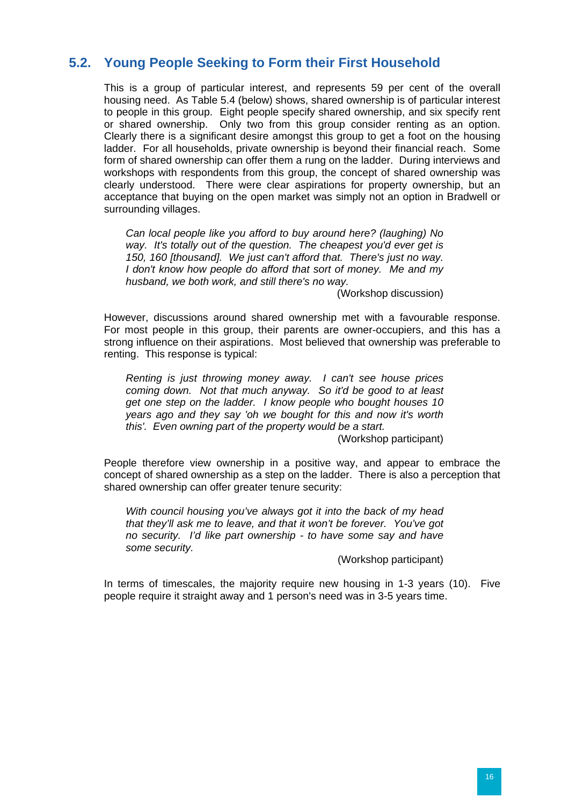# <span id="page-27-0"></span>**5.2. Young People Seeking to Form their First Household**

This is a group of particular interest, and represents 59 per cent of the overall housing need. As Table 5.4 (below) shows, shared ownership is of particular interest to people in this group. Eight people specify shared ownership, and six specify rent or shared ownership. Only two from this group consider renting as an option. Clearly there is a significant desire amongst this group to get a foot on the housing ladder. For all households, private ownership is beyond their financial reach. Some form of shared ownership can offer them a rung on the ladder. During interviews and workshops with respondents from this group, the concept of shared ownership was clearly understood. There were clear aspirations for property ownership, but an acceptance that buying on the open market was simply not an option in Bradwell or surrounding villages.

*Can local people like you afford to buy around here? (laughing) No way. It's totally out of the question. The cheapest you'd ever get is 150, 160 [thousand]. We just can't afford that. There's just no way. I don't know how people do afford that sort of money. Me and my husband, we both work, and still there's no way.* 

(Workshop discussion)

However, discussions around shared ownership met with a favourable response. For most people in this group, their parents are owner-occupiers, and this has a strong influence on their aspirations. Most believed that ownership was preferable to renting. This response is typical:

*Renting is just throwing money away. I can't see house prices coming down. Not that much anyway. So it'd be good to at least get one step on the ladder. I know people who bought houses 10 years ago and they say 'oh we bought for this and now it's worth this'. Even owning part of the property would be a start.* 

(Workshop participant)

People therefore view ownership in a positive way, and appear to embrace the concept of shared ownership as a step on the ladder. There is also a perception that shared ownership can offer greater tenure security:

*With council housing you've always got it into the back of my head that they'll ask me to leave, and that it won't be forever. You've got no security. I'd like part ownership - to have some say and have some security.* 

(Workshop participant)

In terms of timescales, the majority require new housing in 1-3 years (10). Five people require it straight away and 1 person's need was in 3-5 years time.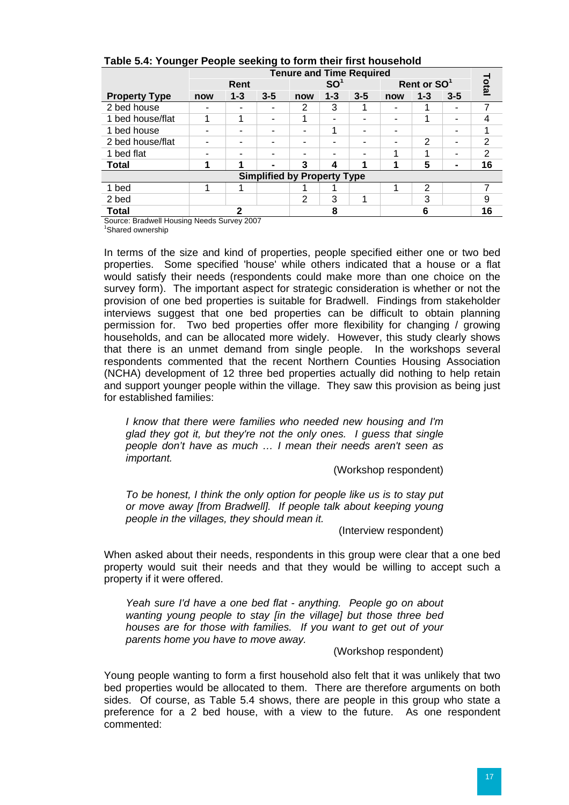|                                            | <b>Tenure and Time Required</b> |         |         |                 |         |         |                         |         |                |       |
|--------------------------------------------|---------------------------------|---------|---------|-----------------|---------|---------|-------------------------|---------|----------------|-------|
|                                            | Rent                            |         |         | SO <sup>1</sup> |         |         | Rent or SO <sup>1</sup> |         |                | Total |
| <b>Property Type</b>                       | now                             | $1 - 3$ | $3 - 5$ | now             | $1 - 3$ | $3 - 5$ | now                     | $1 - 3$ | $3 - 5$        |       |
| 2 bed house                                |                                 |         |         | 2               | 3       |         |                         |         |                |       |
| 1 bed house/flat                           |                                 |         | -       |                 | ۰       |         |                         | ٠       |                |       |
| 1 bed house                                |                                 |         |         |                 | 1       | -       |                         |         |                |       |
| 2 bed house/flat                           |                                 | -       |         |                 |         |         |                         | 2       | -              | 2     |
| 1 bed flat                                 |                                 |         |         |                 |         |         |                         |         |                | 2     |
| <b>Total</b>                               |                                 |         |         | 3               | 4       |         |                         | 5       | $\blacksquare$ | 16    |
| <b>Simplified by Property Type</b>         |                                 |         |         |                 |         |         |                         |         |                |       |
| 1 bed                                      |                                 |         |         |                 |         |         |                         | 2       |                |       |
| 2 bed                                      |                                 |         |         | 2               | 3       |         |                         | 3       |                | 9     |
| <b>Total</b>                               | 2                               |         |         | 8               |         |         |                         | 6       |                |       |
| Course: Deadwell Hauslan Naade Cupsus 0007 |                                 |         |         |                 |         |         |                         |         |                |       |

#### **Table 5.4: Younger People seeking to form their first household**

Source: Bradwell Housing Needs Survey 2007

<sup>1</sup>Shared ownership

In terms of the size and kind of properties, people specified either one or two bed properties. Some specified 'house' while others indicated that a house or a flat would satisfy their needs (respondents could make more than one choice on the survey form). The important aspect for strategic consideration is whether or not the provision of one bed properties is suitable for Bradwell. Findings from stakeholder interviews suggest that one bed properties can be difficult to obtain planning permission for. Two bed properties offer more flexibility for changing / growing households, and can be allocated more widely. However, this study clearly shows that there is an unmet demand from single people. In the workshops several respondents commented that the recent Northern Counties Housing Association (NCHA) development of 12 three bed properties actually did nothing to help retain and support younger people within the village. They saw this provision as being just for established families:

*I know that there were families who needed new housing and I'm glad they got it, but they're not the only ones. I guess that single people don't have as much … I mean their needs aren't seen as important.* 

(Workshop respondent)

*To be honest, I think the only option for people like us is to stay put or move away [from Bradwell]. If people talk about keeping young people in the villages, they should mean it.* 

(Interview respondent)

When asked about their needs, respondents in this group were clear that a one bed property would suit their needs and that they would be willing to accept such a property if it were offered.

*Yeah sure I'd have a one bed flat - anything. People go on about wanting young people to stay [in the village] but those three bed houses are for those with families. If you want to get out of your parents home you have to move away.* 

(Workshop respondent)

Young people wanting to form a first household also felt that it was unlikely that two bed properties would be allocated to them. There are therefore arguments on both sides. Of course, as Table 5.4 shows, there are people in this group who state a preference for a 2 bed house, with a view to the future. As one respondent commented: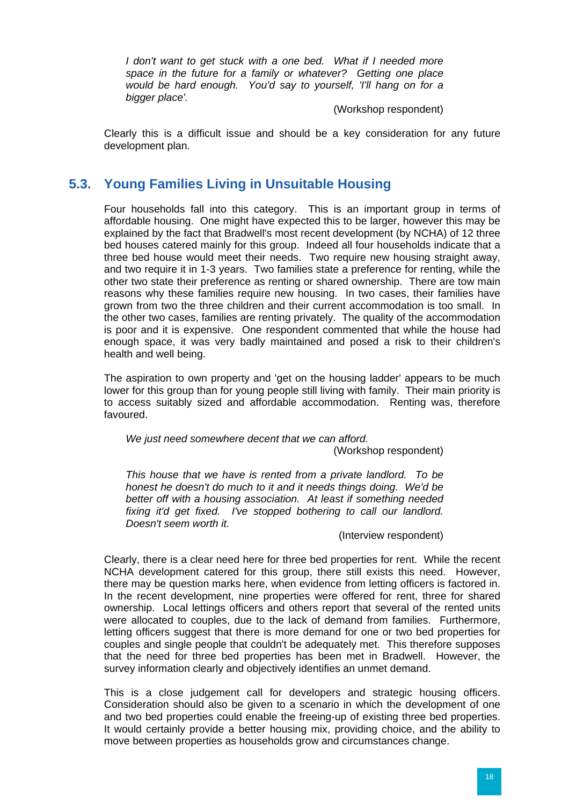<span id="page-29-0"></span>*I* don't want to get stuck with a one bed. What if I needed more *space in the future for a family or whatever? Getting one place would be hard enough. You'd say to yourself, 'I'll hang on for a bigger place'.* 

#### (Workshop respondent)

Clearly this is a difficult issue and should be a key consideration for any future development plan.

# **5.3. Young Families Living in Unsuitable Housing**

Four households fall into this category. This is an important group in terms of affordable housing. One might have expected this to be larger, however this may be explained by the fact that Bradwell's most recent development (by NCHA) of 12 three bed houses catered mainly for this group. Indeed all four households indicate that a three bed house would meet their needs. Two require new housing straight away, and two require it in 1-3 years. Two families state a preference for renting, while the other two state their preference as renting or shared ownership. There are tow main reasons why these families require new housing. In two cases, their families have grown from two the three children and their current accommodation is too small. In the other two cases, families are renting privately. The quality of the accommodation is poor and it is expensive. One respondent commented that while the house had enough space, it was very badly maintained and posed a risk to their children's health and well being.

The aspiration to own property and 'get on the housing ladder' appears to be much lower for this group than for young people still living with family. Their main priority is to access suitably sized and affordable accommodation. Renting was, therefore favoured.

*We just need somewhere decent that we can afford.*  (Workshop respondent)

*This house that we have is rented from a private landlord. To be honest he doesn't do much to it and it needs things doing. We'd be better off with a housing association. At least if something needed fixing it'd get fixed. I've stopped bothering to call our landlord. Doesn't seem worth it.* 

(Interview respondent)

Clearly, there is a clear need here for three bed properties for rent. While the recent NCHA development catered for this group, there still exists this need. However, there may be question marks here, when evidence from letting officers is factored in. In the recent development, nine properties were offered for rent, three for shared ownership. Local lettings officers and others report that several of the rented units were allocated to couples, due to the lack of demand from families. Furthermore, letting officers suggest that there is more demand for one or two bed properties for couples and single people that couldn't be adequately met. This therefore supposes that the need for three bed properties has been met in Bradwell. However, the survey information clearly and objectively identifies an unmet demand.

This is a close judgement call for developers and strategic housing officers. Consideration should also be given to a scenario in which the development of one and two bed properties could enable the freeing-up of existing three bed properties. It would certainly provide a better housing mix, providing choice, and the ability to move between properties as households grow and circumstances change.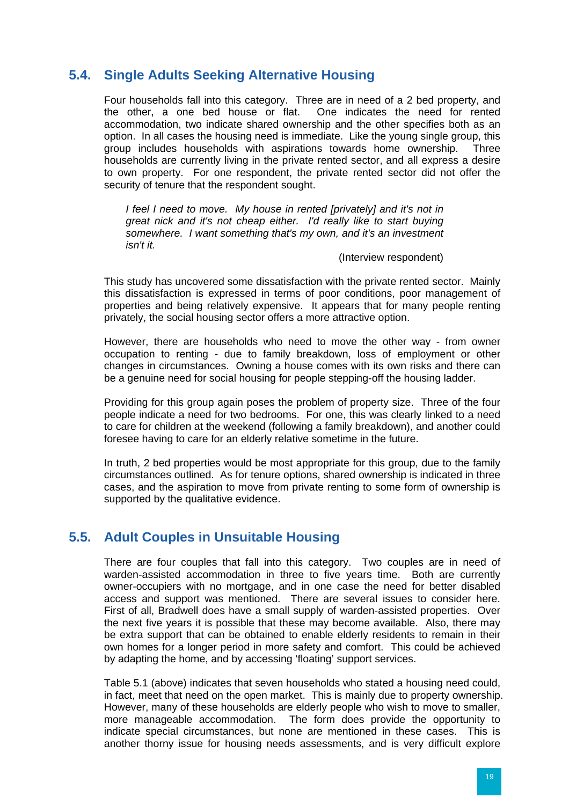## <span id="page-30-0"></span>**5.4. Single Adults Seeking Alternative Housing**

Four households fall into this category. Three are in need of a 2 bed property, and the other, a one bed house or flat. One indicates the need for rented accommodation, two indicate shared ownership and the other specifies both as an option. In all cases the housing need is immediate. Like the young single group, this group includes households with aspirations towards home ownership. Three households are currently living in the private rented sector, and all express a desire to own property. For one respondent, the private rented sector did not offer the security of tenure that the respondent sought.

*I feel I need to move. My house in rented [privately] and it's not in great nick and it's not cheap either. I'd really like to start buying somewhere. I want something that's my own, and it's an investment isn't it.* 

#### (Interview respondent)

This study has uncovered some dissatisfaction with the private rented sector. Mainly this dissatisfaction is expressed in terms of poor conditions, poor management of properties and being relatively expensive. It appears that for many people renting privately, the social housing sector offers a more attractive option.

However, there are households who need to move the other way - from owner occupation to renting - due to family breakdown, loss of employment or other changes in circumstances. Owning a house comes with its own risks and there can be a genuine need for social housing for people stepping-off the housing ladder.

Providing for this group again poses the problem of property size. Three of the four people indicate a need for two bedrooms. For one, this was clearly linked to a need to care for children at the weekend (following a family breakdown), and another could foresee having to care for an elderly relative sometime in the future.

In truth, 2 bed properties would be most appropriate for this group, due to the family circumstances outlined. As for tenure options, shared ownership is indicated in three cases, and the aspiration to move from private renting to some form of ownership is supported by the qualitative evidence.

## **5.5. Adult Couples in Unsuitable Housing**

There are four couples that fall into this category. Two couples are in need of warden-assisted accommodation in three to five years time. Both are currently owner-occupiers with no mortgage, and in one case the need for better disabled access and support was mentioned. There are several issues to consider here. First of all, Bradwell does have a small supply of warden-assisted properties. Over the next five years it is possible that these may become available. Also, there may be extra support that can be obtained to enable elderly residents to remain in their own homes for a longer period in more safety and comfort. This could be achieved by adapting the home, and by accessing 'floating' support services.

Table 5.1 (above) indicates that seven households who stated a housing need could, in fact, meet that need on the open market. This is mainly due to property ownership. However, many of these households are elderly people who wish to move to smaller, more manageable accommodation. The form does provide the opportunity to indicate special circumstances, but none are mentioned in these cases. This is another thorny issue for housing needs assessments, and is very difficult explore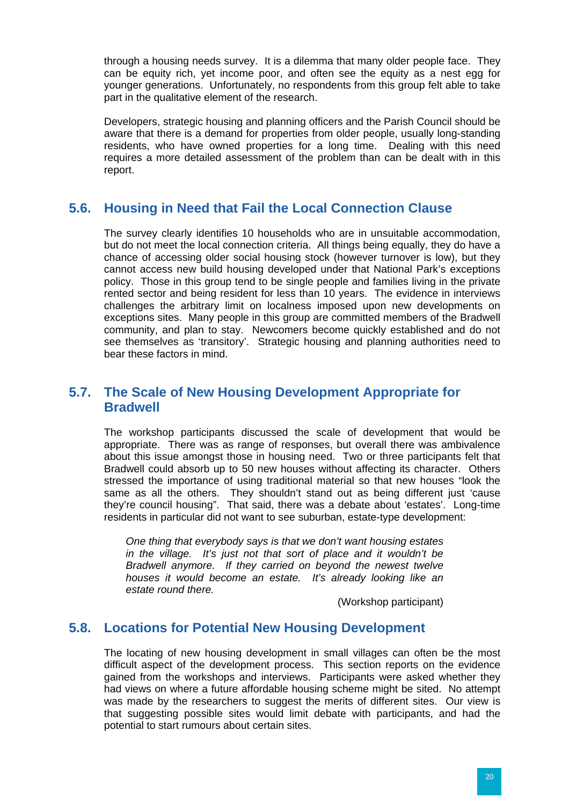<span id="page-31-0"></span>through a housing needs survey. It is a dilemma that many older people face. They can be equity rich, yet income poor, and often see the equity as a nest egg for younger generations. Unfortunately, no respondents from this group felt able to take part in the qualitative element of the research.

Developers, strategic housing and planning officers and the Parish Council should be aware that there is a demand for properties from older people, usually long-standing residents, who have owned properties for a long time. Dealing with this need requires a more detailed assessment of the problem than can be dealt with in this report.

#### **5.6. Housing in Need that Fail the Local Connection Clause**

The survey clearly identifies 10 households who are in unsuitable accommodation, but do not meet the local connection criteria. All things being equally, they do have a chance of accessing older social housing stock (however turnover is low), but they cannot access new build housing developed under that National Park's exceptions policy. Those in this group tend to be single people and families living in the private rented sector and being resident for less than 10 years. The evidence in interviews challenges the arbitrary limit on localness imposed upon new developments on exceptions sites. Many people in this group are committed members of the Bradwell community, and plan to stay. Newcomers become quickly established and do not see themselves as 'transitory'. Strategic housing and planning authorities need to bear these factors in mind.

## **5.7. The Scale of New Housing Development Appropriate for Bradwell**

The workshop participants discussed the scale of development that would be appropriate. There was as range of responses, but overall there was ambivalence about this issue amongst those in housing need. Two or three participants felt that Bradwell could absorb up to 50 new houses without affecting its character. Others stressed the importance of using traditional material so that new houses "look the same as all the others. They shouldn't stand out as being different just 'cause they're council housing". That said, there was a debate about 'estates'. Long-time residents in particular did not want to see suburban, estate-type development:

*One thing that everybody says is that we don't want housing estates in the village. It's just not that sort of place and it wouldn't be Bradwell anymore. If they carried on beyond the newest twelve houses it would become an estate. It's already looking like an estate round there.* 

(Workshop participant)

#### **5.8. Locations for Potential New Housing Development**

The locating of new housing development in small villages can often be the most difficult aspect of the development process. This section reports on the evidence gained from the workshops and interviews. Participants were asked whether they had views on where a future affordable housing scheme might be sited. No attempt was made by the researchers to suggest the merits of different sites. Our view is that suggesting possible sites would limit debate with participants, and had the potential to start rumours about certain sites.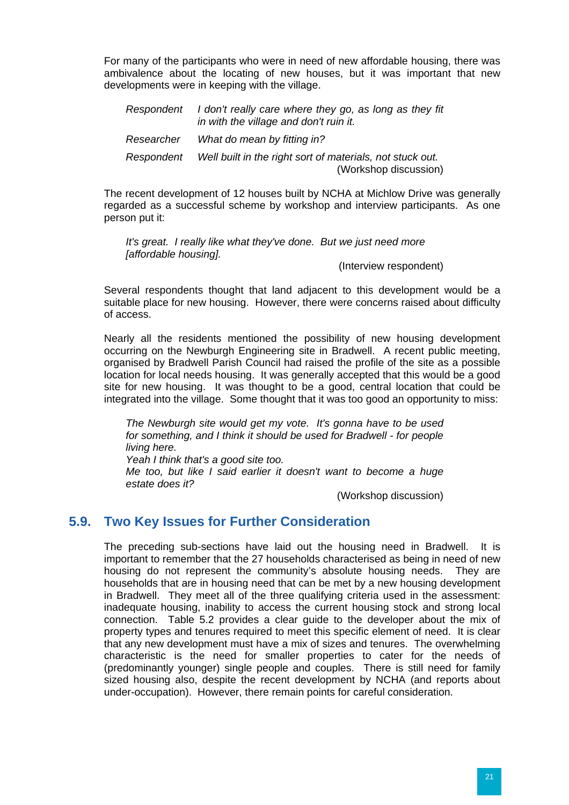<span id="page-32-0"></span>For many of the participants who were in need of new affordable housing, there was ambivalence about the locating of new houses, but it was important that new developments were in keeping with the village.

| Respondent | I don't really care where they go, as long as they fit<br>in with the village and don't ruin it. |
|------------|--------------------------------------------------------------------------------------------------|
| Researcher | What do mean by fitting in?                                                                      |
| Respondent | Well built in the right sort of materials, not stuck out.<br>(Workshop discussion)               |

The recent development of 12 houses built by NCHA at Michlow Drive was generally regarded as a successful scheme by workshop and interview participants. As one person put it:

*It's great. I really like what they've done. But we just need more [affordable housing].* 

(Interview respondent)

Several respondents thought that land adjacent to this development would be a suitable place for new housing. However, there were concerns raised about difficulty of access.

Nearly all the residents mentioned the possibility of new housing development occurring on the Newburgh Engineering site in Bradwell. A recent public meeting, organised by Bradwell Parish Council had raised the profile of the site as a possible location for local needs housing. It was generally accepted that this would be a good site for new housing. It was thought to be a good, central location that could be integrated into the village. Some thought that it was too good an opportunity to miss:

*The Newburgh site would get my vote. It's gonna have to be used for something, and I think it should be used for Bradwell - for people living here. Yeah I think that's a good site too. Me too, but like I said earlier it doesn't want to become a huge estate does it?* 

(Workshop discussion)

#### **5.9. Two Key Issues for Further Consideration**

The preceding sub-sections have laid out the housing need in Bradwell. It is important to remember that the 27 households characterised as being in need of new housing do not represent the community's absolute housing needs. They are households that are in housing need that can be met by a new housing development in Bradwell. They meet all of the three qualifying criteria used in the assessment: inadequate housing, inability to access the current housing stock and strong local connection. Table 5.2 provides a clear guide to the developer about the mix of property types and tenures required to meet this specific element of need. It is clear that any new development must have a mix of sizes and tenures. The overwhelming characteristic is the need for smaller properties to cater for the needs of (predominantly younger) single people and couples. There is still need for family sized housing also, despite the recent development by NCHA (and reports about under-occupation). However, there remain points for careful consideration.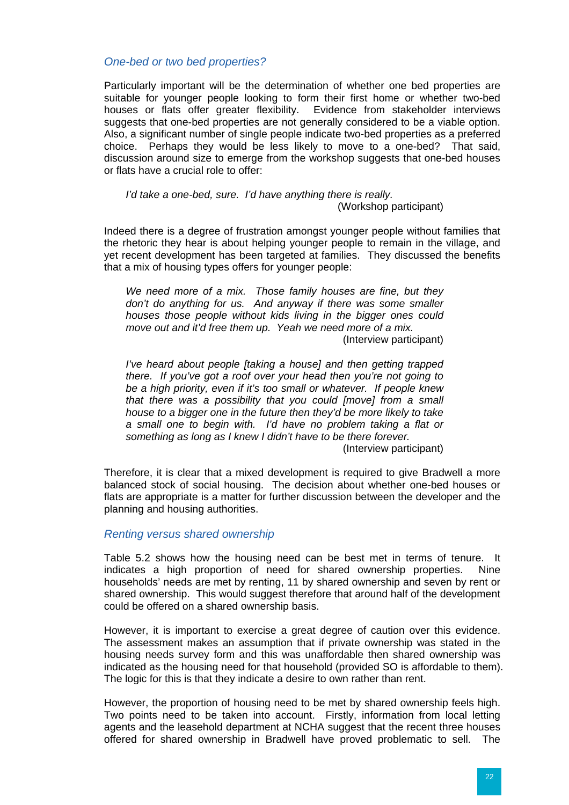#### *One-bed or two bed properties?*

Particularly important will be the determination of whether one bed properties are suitable for younger people looking to form their first home or whether two-bed houses or flats offer greater flexibility. Evidence from stakeholder interviews suggests that one-bed properties are not generally considered to be a viable option. Also, a significant number of single people indicate two-bed properties as a preferred choice. Perhaps they would be less likely to move to a one-bed? That said, discussion around size to emerge from the workshop suggests that one-bed houses or flats have a crucial role to offer:

#### *I'd take a one-bed, sure. I'd have anything there is really.*  (Workshop participant)

Indeed there is a degree of frustration amongst younger people without families that the rhetoric they hear is about helping younger people to remain in the village, and yet recent development has been targeted at families. They discussed the benefits that a mix of housing types offers for younger people:

*We need more of a mix. Those family houses are fine, but they don't do anything for us. And anyway if there was some smaller houses those people without kids living in the bigger ones could move out and it'd free them up. Yeah we need more of a mix.* 

(Interview participant)

*I've heard about people [taking a house] and then getting trapped there. If you've got a roof over your head then you're not going to be a high priority, even if it's too small or whatever. If people knew that there was a possibility that you could [move] from a small house to a bigger one in the future then they'd be more likely to take a small one to begin with. I'd have no problem taking a flat or something as long as I knew I didn't have to be there forever.* 

(Interview participant)

Therefore, it is clear that a mixed development is required to give Bradwell a more balanced stock of social housing. The decision about whether one-bed houses or flats are appropriate is a matter for further discussion between the developer and the planning and housing authorities.

#### *Renting versus shared ownership*

Table 5.2 shows how the housing need can be best met in terms of tenure. It indicates a high proportion of need for shared ownership properties. Nine households' needs are met by renting, 11 by shared ownership and seven by rent or shared ownership. This would suggest therefore that around half of the development could be offered on a shared ownership basis.

However, it is important to exercise a great degree of caution over this evidence. The assessment makes an assumption that if private ownership was stated in the housing needs survey form and this was unaffordable then shared ownership was indicated as the housing need for that household (provided SO is affordable to them). The logic for this is that they indicate a desire to own rather than rent.

However, the proportion of housing need to be met by shared ownership feels high. Two points need to be taken into account. Firstly, information from local letting agents and the leasehold department at NCHA suggest that the recent three houses offered for shared ownership in Bradwell have proved problematic to sell. The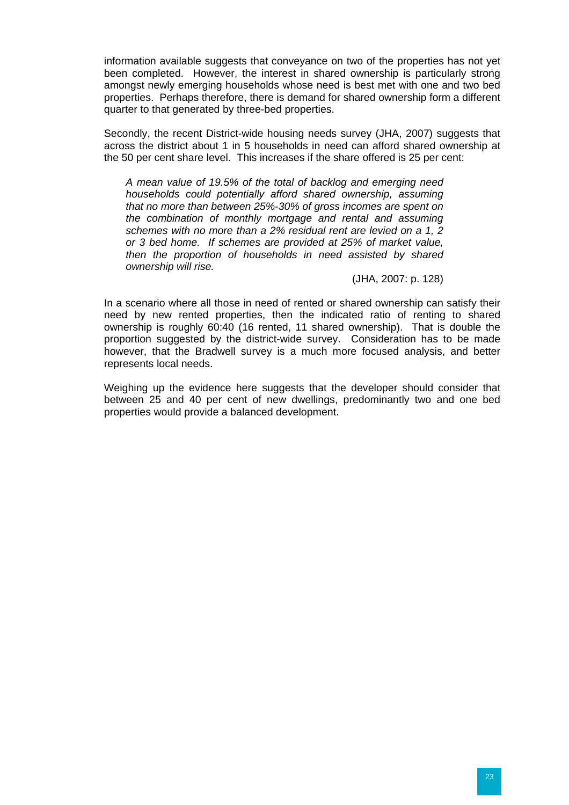information available suggests that convevance on two of the properties has not vet been completed. However, the interest in shared ownership is particularly strong amongst newly emerging households whose need is best met with one and two bed properties. Perhaps therefore, there is demand for shared ownership form a different quarter to that generated by three-bed properties.

Secondly, the recent District-wide housing needs survey (JHA, 2007) suggests that across the district about 1 in 5 households in need can afford shared ownership at the 50 per cent share level. This increases if the share offered is 25 per cent:

*A mean value of 19.5% of the total of backlog and emerging need households could potentially afford shared ownership, assuming that no more than between 25%-30% of gross incomes are spent on the combination of monthly mortgage and rental and assuming schemes with no more than a 2% residual rent are levied on a 1, 2 or 3 bed home. If schemes are provided at 25% of market value, then the proportion of households in need assisted by shared ownership will rise.* 

(JHA, 2007: p. 128)

In a scenario where all those in need of rented or shared ownership can satisfy their need by new rented properties, then the indicated ratio of renting to shared ownership is roughly 60:40 (16 rented, 11 shared ownership). That is double the proportion suggested by the district-wide survey. Consideration has to be made however, that the Bradwell survey is a much more focused analysis, and better represents local needs.

Weighing up the evidence here suggests that the developer should consider that between 25 and 40 per cent of new dwellings, predominantly two and one bed properties would provide a balanced development.